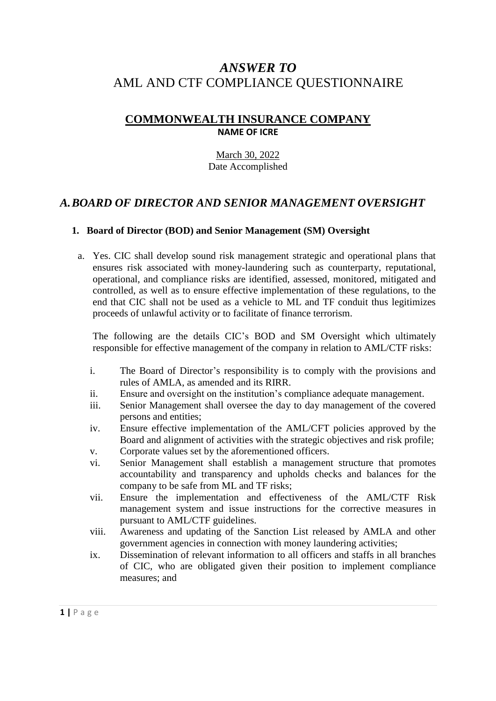# *ANSWER TO* AML AND CTF COMPLIANCE QUESTIONNAIRE

# **COMMONWEALTH INSURANCE COMPANY NAME OF ICRE**

### March 30, 2022 Date Accomplished

# *A.BOARD OF DIRECTOR AND SENIOR MANAGEMENT OVERSIGHT*

### **1. Board of Director (BOD) and Senior Management (SM) Oversight**

a. Yes. CIC shall develop sound risk management strategic and operational plans that ensures risk associated with money-laundering such as counterparty, reputational, operational, and compliance risks are identified, assessed, monitored, mitigated and controlled, as well as to ensure effective implementation of these regulations, to the end that CIC shall not be used as a vehicle to ML and TF conduit thus legitimizes proceeds of unlawful activity or to facilitate of finance terrorism.

The following are the details CIC's BOD and SM Oversight which ultimately responsible for effective management of the company in relation to AML/CTF risks:

- i. The Board of Director's responsibility is to comply with the provisions and rules of AMLA, as amended and its RIRR.
- ii. Ensure and oversight on the institution's compliance adequate management.
- iii. Senior Management shall oversee the day to day management of the covered persons and entities;
- iv. Ensure effective implementation of the AML/CFT policies approved by the Board and alignment of activities with the strategic objectives and risk profile;
- v. Corporate values set by the aforementioned officers.
- vi. Senior Management shall establish a management structure that promotes accountability and transparency and upholds checks and balances for the company to be safe from ML and TF risks;
- vii. Ensure the implementation and effectiveness of the AML/CTF Risk management system and issue instructions for the corrective measures in pursuant to AML/CTF guidelines.
- viii. Awareness and updating of the Sanction List released by AMLA and other government agencies in connection with money laundering activities;
- ix. Dissemination of relevant information to all officers and staffs in all branches of CIC, who are obligated given their position to implement compliance measures; and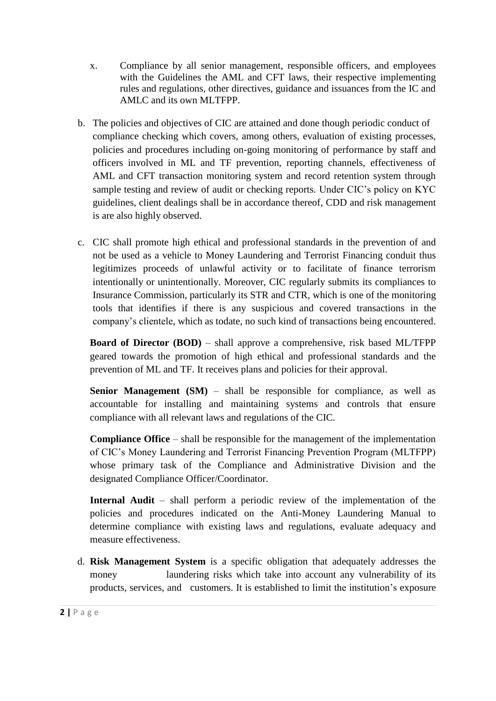- x. Compliance by all senior management, responsible officers, and employees with the Guidelines the AML and CFT laws, their respective implementing rules and regulations, other directives, guidance and issuances from the IC and AMLC and its own MLTFPP.
- b. The policies and objectives of CIC are attained and done though periodic conduct of compliance checking which covers, among others, evaluation of existing processes, policies and procedures including on-going monitoring of performance by staff and officers involved in ML and TF prevention, reporting channels, effectiveness of AML and CFT transaction monitoring system and record retention system through sample testing and review of audit or checking reports. Under CIC's policy on KYC guidelines, client dealings shall be in accordance thereof, CDD and risk management is are also highly observed.
- c. CIC shall promote high ethical and professional standards in the prevention of and not be used as a vehicle to Money Laundering and Terrorist Financing conduit thus legitimizes proceeds of unlawful activity or to facilitate of finance terrorism intentionally or unintentionally. Moreover, CIC regularly submits its compliances to Insurance Commission, particularly its STR and CTR, which is one of the monitoring tools that identifies if there is any suspicious and covered transactions in the company's clientele, which as todate, no such kind of transactions being encountered.

**Board of Director (BOD)** – shall approve a comprehensive, risk based ML/TFPP geared towards the promotion of high ethical and professional standards and the prevention of ML and TF. It receives plans and policies for their approval.

**Senior Management (SM)** – shall be responsible for compliance, as well as accountable for installing and maintaining systems and controls that ensure compliance with all relevant laws and regulations of the CIC.

**Compliance Office** – shall be responsible for the management of the implementation of CIC's Money Laundering and Terrorist Financing Prevention Program (MLTFPP) whose primary task of the Compliance and Administrative Division and the designated Compliance Officer/Coordinator.

**Internal Audit** – shall perform a periodic review of the implementation of the policies and procedures indicated on the Anti-Money Laundering Manual to determine compliance with existing laws and regulations, evaluate adequacy and measure effectiveness.

d. **Risk Management System** is a specific obligation that adequately addresses the money laundering risks which take into account any vulnerability of its products, services, and customers. It is established to limit the institution's exposure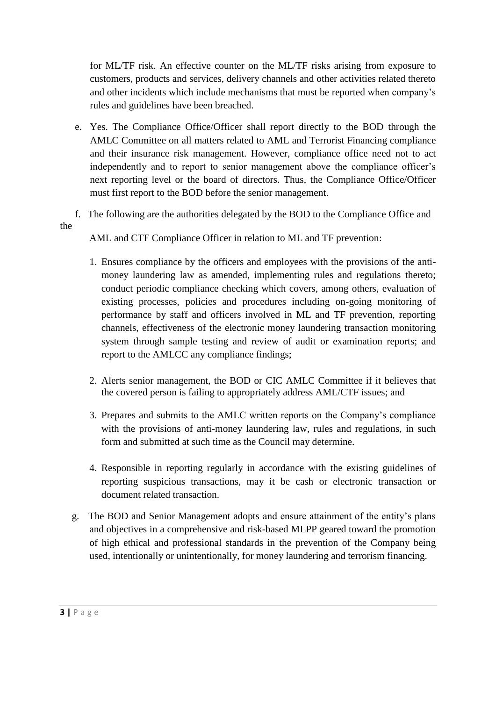for ML/TF risk. An effective counter on the ML/TF risks arising from exposure to customers, products and services, delivery channels and other activities related thereto and other incidents which include mechanisms that must be reported when company's rules and guidelines have been breached.

- e. Yes. The Compliance Office/Officer shall report directly to the BOD through the AMLC Committee on all matters related to AML and Terrorist Financing compliance and their insurance risk management. However, compliance office need not to act independently and to report to senior management above the compliance officer's next reporting level or the board of directors. Thus, the Compliance Office/Officer must first report to the BOD before the senior management.
- f. The following are the authorities delegated by the BOD to the Compliance Office and the

AML and CTF Compliance Officer in relation to ML and TF prevention:

- 1. Ensures compliance by the officers and employees with the provisions of the antimoney laundering law as amended, implementing rules and regulations thereto; conduct periodic compliance checking which covers, among others, evaluation of existing processes, policies and procedures including on-going monitoring of performance by staff and officers involved in ML and TF prevention, reporting channels, effectiveness of the electronic money laundering transaction monitoring system through sample testing and review of audit or examination reports; and report to the AMLCC any compliance findings;
- 2. Alerts senior management, the BOD or CIC AMLC Committee if it believes that the covered person is failing to appropriately address AML/CTF issues; and
- 3. Prepares and submits to the AMLC written reports on the Company's compliance with the provisions of anti-money laundering law, rules and regulations, in such form and submitted at such time as the Council may determine.
- 4. Responsible in reporting regularly in accordance with the existing guidelines of reporting suspicious transactions, may it be cash or electronic transaction or document related transaction.
- g. The BOD and Senior Management adopts and ensure attainment of the entity's plans and objectives in a comprehensive and risk-based MLPP geared toward the promotion of high ethical and professional standards in the prevention of the Company being used, intentionally or unintentionally, for money laundering and terrorism financing.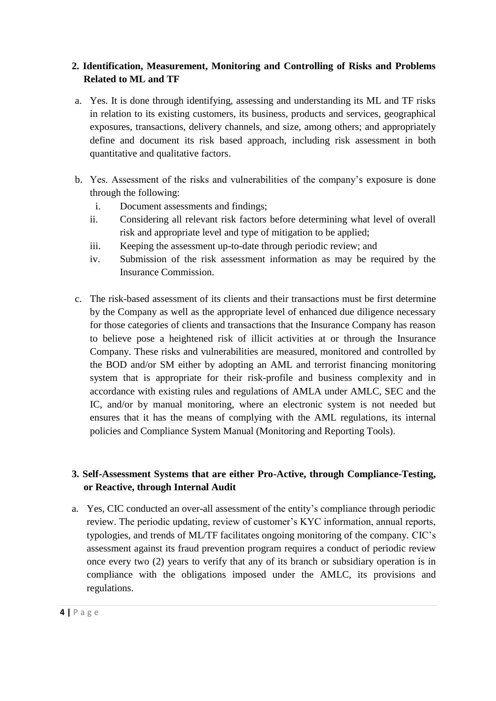## **2. Identification, Measurement, Monitoring and Controlling of Risks and Problems Related to ML and TF**

- a. Yes. It is done through identifying, assessing and understanding its ML and TF risks in relation to its existing customers, its business, products and services, geographical exposures, transactions, delivery channels, and size, among others; and appropriately define and document its risk based approach, including risk assessment in both quantitative and qualitative factors.
- b. Yes. Assessment of the risks and vulnerabilities of the company's exposure is done through the following:
	- i. Document assessments and findings;
	- ii. Considering all relevant risk factors before determining what level of overall risk and appropriate level and type of mitigation to be applied;
	- iii. Keeping the assessment up-to-date through periodic review; and
	- iv. Submission of the risk assessment information as may be required by the Insurance Commission.
- c. The risk-based assessment of its clients and their transactions must be first determine by the Company as well as the appropriate level of enhanced due diligence necessary for those categories of clients and transactions that the Insurance Company has reason to believe pose a heightened risk of illicit activities at or through the Insurance Company. These risks and vulnerabilities are measured, monitored and controlled by the BOD and/or SM either by adopting an AML and terrorist financing monitoring system that is appropriate for their risk-profile and business complexity and in accordance with existing rules and regulations of AMLA under AMLC, SEC and the IC, and/or by manual monitoring, where an electronic system is not needed but ensures that it has the means of complying with the AML regulations, its internal policies and Compliance System Manual (Monitoring and Reporting Tools).

# **3. Self-Assessment Systems that are either Pro-Active, through Compliance-Testing, or Reactive, through Internal Audit**

a. Yes, CIC conducted an over-all assessment of the entity's compliance through periodic review. The periodic updating, review of customer's KYC information, annual reports, typologies, and trends of ML/TF facilitates ongoing monitoring of the company. CIC's assessment against its fraud prevention program requires a conduct of periodic review once every two (2) years to verify that any of its branch or subsidiary operation is in compliance with the obligations imposed under the AMLC, its provisions and regulations.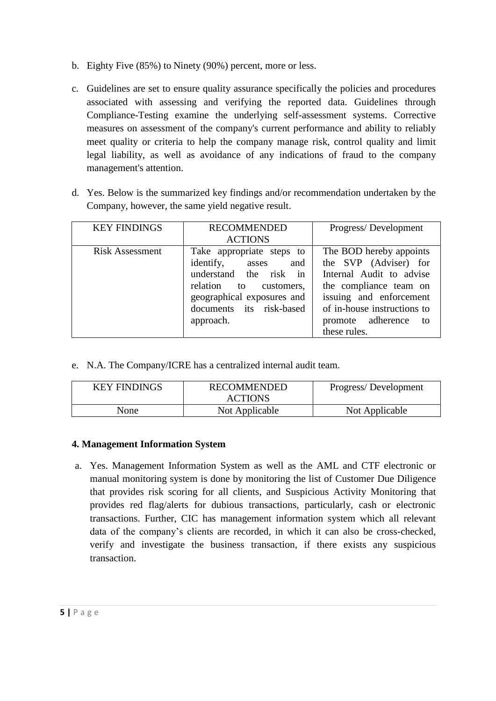- b. Eighty Five (85%) to Ninety (90%) percent, more or less.
- c. Guidelines are set to ensure quality assurance specifically the policies and procedures associated with assessing and verifying the reported data. Guidelines through Compliance-Testing examine the underlying self-assessment systems. Corrective measures on assessment of the company's current performance and ability to reliably meet quality or criteria to help the company manage risk, control quality and limit legal liability, as well as avoidance of any indications of fraud to the company management's attention.
- d. Yes. Below is the summarized key findings and/or recommendation undertaken by the Company, however, the same yield negative result.

| <b>KEY FINDINGS</b>    | <b>RECOMMENDED</b><br><b>ACTIONS</b>                                                                                                                                           | Progress/Development                                                                                                                                                                                        |
|------------------------|--------------------------------------------------------------------------------------------------------------------------------------------------------------------------------|-------------------------------------------------------------------------------------------------------------------------------------------------------------------------------------------------------------|
| <b>Risk Assessment</b> | Take appropriate steps to<br>identify, asses<br>and<br>understand the risk in<br>relation to customers,<br>geographical exposures and<br>documents its risk-based<br>approach. | The BOD hereby appoints<br>the SVP (Adviser) for<br>Internal Audit to advise<br>the compliance team on<br>issuing and enforcement<br>of in-house instructions to<br>promote adherence<br>to<br>these rules. |

e. N.A. The Company/ICRE has a centralized internal audit team.

| <b>KEY FINDINGS</b> | <b>RECOMMENDED</b><br><b>ACTIONS</b> | Progress/Development |
|---------------------|--------------------------------------|----------------------|
| None                | Not Applicable                       | Not Applicable       |

### **4. Management Information System**

a. Yes. Management Information System as well as the AML and CTF electronic or manual monitoring system is done by monitoring the list of Customer Due Diligence that provides risk scoring for all clients, and Suspicious Activity Monitoring that provides red flag/alerts for dubious transactions, particularly, cash or electronic transactions. Further, CIC has management information system which all relevant data of the company's clients are recorded, in which it can also be cross-checked, verify and investigate the business transaction, if there exists any suspicious transaction.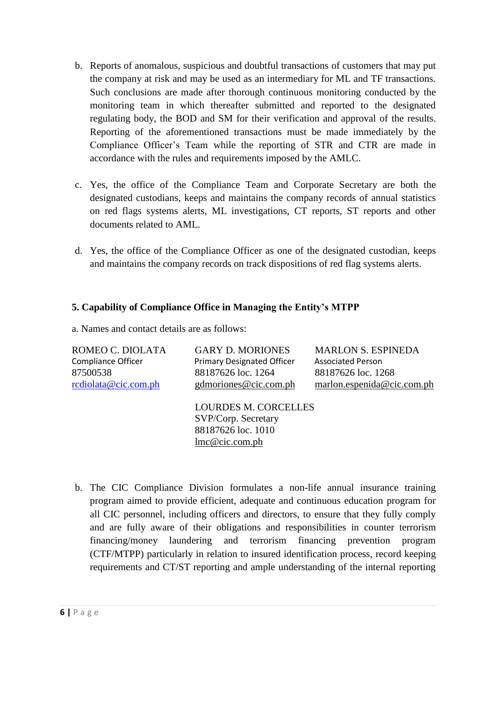- b. Reports of anomalous, suspicious and doubtful transactions of customers that may put the company at risk and may be used as an intermediary for ML and TF transactions. Such conclusions are made after thorough continuous monitoring conducted by the monitoring team in which thereafter submitted and reported to the designated regulating body, the BOD and SM for their verification and approval of the results. Reporting of the aforementioned transactions must be made immediately by the Compliance Officer's Team while the reporting of STR and CTR are made in accordance with the rules and requirements imposed by the AMLC.
- c. Yes, the office of the Compliance Team and Corporate Secretary are both the designated custodians, keeps and maintains the company records of annual statistics on red flags systems alerts, ML investigations, CT reports, ST reports and other documents related to AML.
- d. Yes, the office of the Compliance Officer as one of the designated custodian, keeps and maintains the company records on track dispositions of red flag systems alerts.

### **5. Capability of Compliance Office in Managing the Entity's MTPP**

a. Names and contact details are as follows:

| ROMEO C. DIOLATA          | <b>GARY D. MORIONES</b>                                                                    | <b>MARLON S. ESPINEDA</b>    |
|---------------------------|--------------------------------------------------------------------------------------------|------------------------------|
| <b>Compliance Officer</b> | <b>Primary Designated Officer</b>                                                          | <b>Associated Person</b>     |
| 87500538                  | 88187626 loc. 1264                                                                         | 88187626 loc. 1268           |
| rediolata@cic.com.ph      | gdmoriones@cic.com.ph                                                                      | marlon. espenida@cic.com.php |
|                           | <b>LOURDES M. CORCELLES</b><br>SVP/Corp. Secretary<br>88187626 loc. 1010<br>lmc@cic.com.ph |                              |

b. The CIC Compliance Division formulates a non-life annual insurance training program aimed to provide efficient, adequate and continuous education program for all CIC personnel, including officers and directors, to ensure that they fully comply and are fully aware of their obligations and responsibilities in counter terrorism financing/money laundering and terrorism financing prevention program (CTF/MTPP) particularly in relation to insured identification process, record keeping requirements and CT/ST reporting and ample understanding of the internal reporting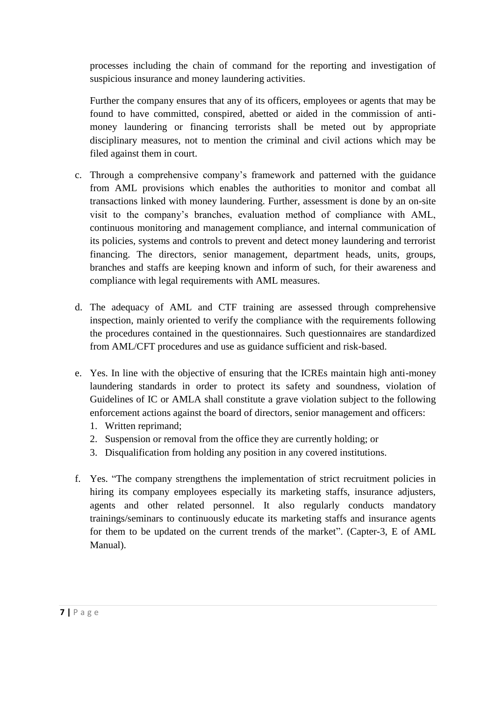processes including the chain of command for the reporting and investigation of suspicious insurance and money laundering activities.

Further the company ensures that any of its officers, employees or agents that may be found to have committed, conspired, abetted or aided in the commission of antimoney laundering or financing terrorists shall be meted out by appropriate disciplinary measures, not to mention the criminal and civil actions which may be filed against them in court.

- c. Through a comprehensive company's framework and patterned with the guidance from AML provisions which enables the authorities to monitor and combat all transactions linked with money laundering. Further, assessment is done by an on-site visit to the company's branches, evaluation method of compliance with AML, continuous monitoring and management compliance, and internal communication of its policies, systems and controls to prevent and detect money laundering and terrorist financing. The directors, senior management, department heads, units, groups, branches and staffs are keeping known and inform of such, for their awareness and compliance with legal requirements with AML measures.
- d. The adequacy of AML and CTF training are assessed through comprehensive inspection, mainly oriented to verify the compliance with the requirements following the procedures contained in the questionnaires. Such questionnaires are standardized from AML/CFT procedures and use as guidance sufficient and risk-based.
- e. Yes. In line with the objective of ensuring that the ICREs maintain high anti-money laundering standards in order to protect its safety and soundness, violation of Guidelines of IC or AMLA shall constitute a grave violation subject to the following enforcement actions against the board of directors, senior management and officers:
	- 1. Written reprimand;
	- 2. Suspension or removal from the office they are currently holding; or
	- 3. Disqualification from holding any position in any covered institutions.
- f. Yes. "The company strengthens the implementation of strict recruitment policies in hiring its company employees especially its marketing staffs, insurance adjusters, agents and other related personnel. It also regularly conducts mandatory trainings/seminars to continuously educate its marketing staffs and insurance agents for them to be updated on the current trends of the market". (Capter-3, E of AML Manual).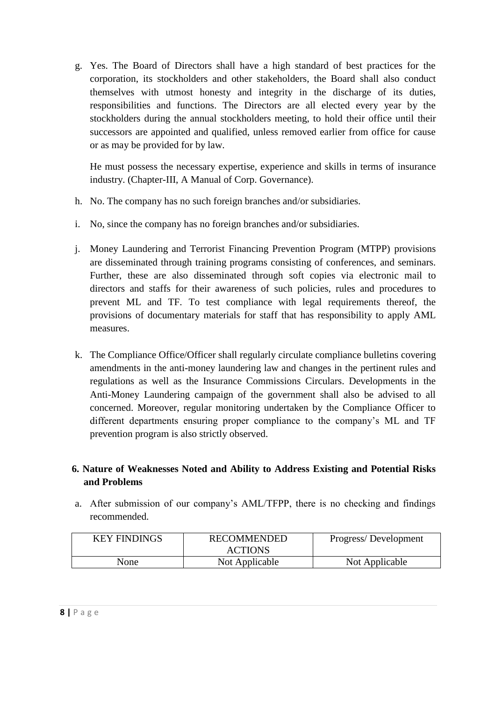g. Yes. The Board of Directors shall have a high standard of best practices for the corporation, its stockholders and other stakeholders, the Board shall also conduct themselves with utmost honesty and integrity in the discharge of its duties, responsibilities and functions. The Directors are all elected every year by the stockholders during the annual stockholders meeting, to hold their office until their successors are appointed and qualified, unless removed earlier from office for cause or as may be provided for by law.

He must possess the necessary expertise, experience and skills in terms of insurance industry. (Chapter-III, A Manual of Corp. Governance).

- h. No. The company has no such foreign branches and/or subsidiaries.
- i. No, since the company has no foreign branches and/or subsidiaries.
- j. Money Laundering and Terrorist Financing Prevention Program (MTPP) provisions are disseminated through training programs consisting of conferences, and seminars. Further, these are also disseminated through soft copies via electronic mail to directors and staffs for their awareness of such policies, rules and procedures to prevent ML and TF. To test compliance with legal requirements thereof, the provisions of documentary materials for staff that has responsibility to apply AML measures.
- k. The Compliance Office/Officer shall regularly circulate compliance bulletins covering amendments in the anti-money laundering law and changes in the pertinent rules and regulations as well as the Insurance Commissions Circulars. Developments in the Anti-Money Laundering campaign of the government shall also be advised to all concerned. Moreover, regular monitoring undertaken by the Compliance Officer to different departments ensuring proper compliance to the company's ML and TF prevention program is also strictly observed.

# **6. Nature of Weaknesses Noted and Ability to Address Existing and Potential Risks and Problems**

a. After submission of our company's AML/TFPP, there is no checking and findings recommended.

| <b>KEY FINDINGS</b> | <b>RECOMMENDED</b><br><b>ACTIONS</b> | Progress/Development |  |
|---------------------|--------------------------------------|----------------------|--|
| None                | Not Applicable                       | Not Applicable       |  |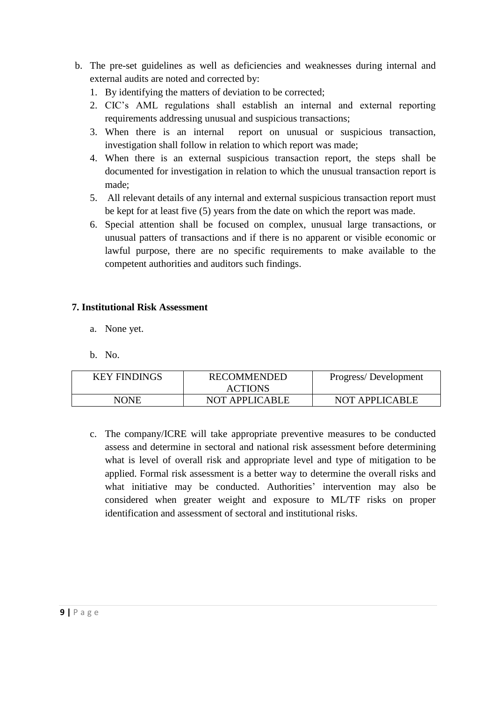- b. The pre-set guidelines as well as deficiencies and weaknesses during internal and external audits are noted and corrected by:
	- 1. By identifying the matters of deviation to be corrected;
	- 2. CIC's AML regulations shall establish an internal and external reporting requirements addressing unusual and suspicious transactions;
	- 3. When there is an internal report on unusual or suspicious transaction, investigation shall follow in relation to which report was made;
	- 4. When there is an external suspicious transaction report, the steps shall be documented for investigation in relation to which the unusual transaction report is made;
	- 5. All relevant details of any internal and external suspicious transaction report must be kept for at least five (5) years from the date on which the report was made.
	- 6. Special attention shall be focused on complex, unusual large transactions, or unusual patters of transactions and if there is no apparent or visible economic or lawful purpose, there are no specific requirements to make available to the competent authorities and auditors such findings.

### **7. Institutional Risk Assessment**

- a. None yet.
- b. No.

| <b>KEY FINDINGS</b> | <b>RECOMMENDED</b><br><b>ACTIONS</b> | Progress/Development  |
|---------------------|--------------------------------------|-----------------------|
| NONE                | <b>NOT APPLICABLE</b>                | <b>NOT APPLICABLE</b> |

c. The company/ICRE will take appropriate preventive measures to be conducted assess and determine in sectoral and national risk assessment before determining what is level of overall risk and appropriate level and type of mitigation to be applied. Formal risk assessment is a better way to determine the overall risks and what initiative may be conducted. Authorities' intervention may also be considered when greater weight and exposure to ML/TF risks on proper identification and assessment of sectoral and institutional risks.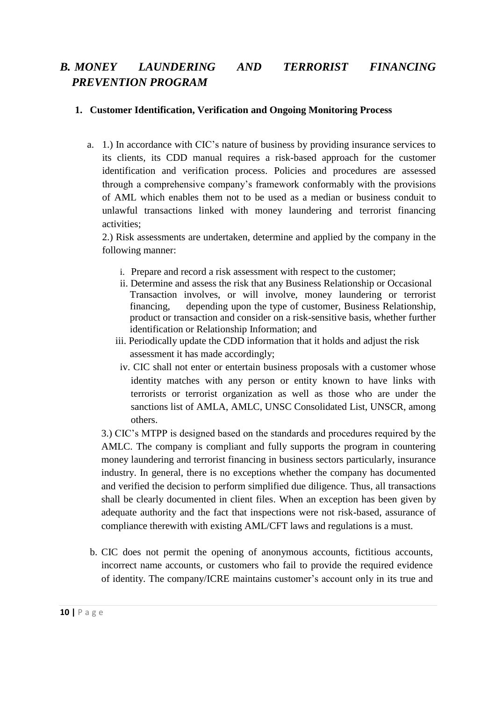# *B. MONEY LAUNDERING AND TERRORIST FINANCING PREVENTION PROGRAM*

### **1. Customer Identification, Verification and Ongoing Monitoring Process**

a. 1.) In accordance with CIC's nature of business by providing insurance services to its clients, its CDD manual requires a risk-based approach for the customer identification and verification process. Policies and procedures are assessed through a comprehensive company's framework conformably with the provisions of AML which enables them not to be used as a median or business conduit to unlawful transactions linked with money laundering and terrorist financing activities;

2.) Risk assessments are undertaken, determine and applied by the company in the following manner:

- i. Prepare and record a risk assessment with respect to the customer;
- ii. Determine and assess the risk that any Business Relationship or Occasional Transaction involves, or will involve, money laundering or terrorist financing, depending upon the type of customer, Business Relationship, product or transaction and consider on a risk-sensitive basis, whether further identification or Relationship Information; and
- iii. Periodically update the CDD information that it holds and adjust the risk assessment it has made accordingly;
- iv. CIC shall not enter or entertain business proposals with a customer whose identity matches with any person or entity known to have links with terrorists or terrorist organization as well as those who are under the sanctions list of AMLA, AMLC, UNSC Consolidated List, UNSCR, among others.

3.) CIC's MTPP is designed based on the standards and procedures required by the AMLC. The company is compliant and fully supports the program in countering money laundering and terrorist financing in business sectors particularly, insurance industry. In general, there is no exceptions whether the company has documented and verified the decision to perform simplified due diligence. Thus, all transactions shall be clearly documented in client files. When an exception has been given by adequate authority and the fact that inspections were not risk-based, assurance of compliance therewith with existing AML/CFT laws and regulations is a must.

b. CIC does not permit the opening of anonymous accounts, fictitious accounts, incorrect name accounts, or customers who fail to provide the required evidence of identity. The company/ICRE maintains customer's account only in its true and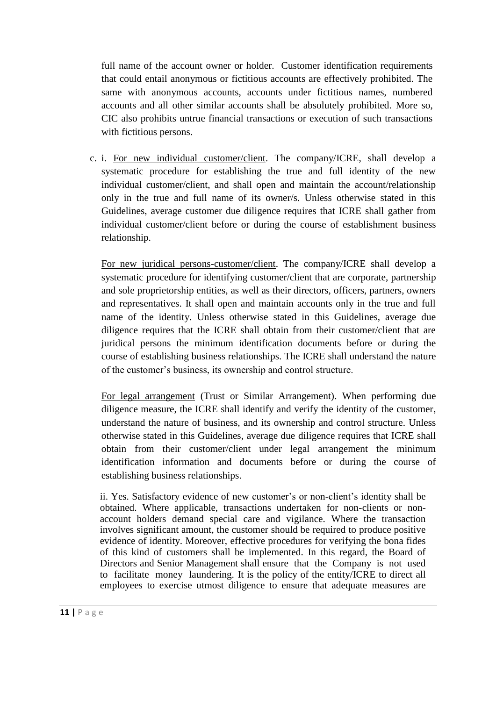full name of the account owner or holder. Customer identification requirements that could entail anonymous or fictitious accounts are effectively prohibited. The same with anonymous accounts, accounts under fictitious names, numbered accounts and all other similar accounts shall be absolutely prohibited. More so, CIC also prohibits untrue financial transactions or execution of such transactions with fictitious persons.

c. i. For new individual customer/client. The company/ICRE, shall develop a systematic procedure for establishing the true and full identity of the new individual customer/client, and shall open and maintain the account/relationship only in the true and full name of its owner/s. Unless otherwise stated in this Guidelines, average customer due diligence requires that ICRE shall gather from individual customer/client before or during the course of establishment business relationship.

For new juridical persons-customer/client. The company/ICRE shall develop a systematic procedure for identifying customer/client that are corporate, partnership and sole proprietorship entities, as well as their directors, officers, partners, owners and representatives. It shall open and maintain accounts only in the true and full name of the identity. Unless otherwise stated in this Guidelines, average due diligence requires that the ICRE shall obtain from their customer/client that are juridical persons the minimum identification documents before or during the course of establishing business relationships. The ICRE shall understand the nature of the customer's business, its ownership and control structure.

For legal arrangement (Trust or Similar Arrangement). When performing due diligence measure, the ICRE shall identify and verify the identity of the customer, understand the nature of business, and its ownership and control structure. Unless otherwise stated in this Guidelines, average due diligence requires that ICRE shall obtain from their customer/client under legal arrangement the minimum identification information and documents before or during the course of establishing business relationships.

ii. Yes. Satisfactory evidence of new customer's or non-client's identity shall be obtained. Where applicable, transactions undertaken for non-clients or nonaccount holders demand special care and vigilance. Where the transaction involves significant amount, the customer should be required to produce positive evidence of identity. Moreover, effective procedures for verifying the bona fides of this kind of customers shall be implemented. In this regard, the Board of Directors and Senior Management shall ensure that the Company is not used to facilitate money laundering. It is the policy of the entity/ICRE to direct all employees to exercise utmost diligence to ensure that adequate measures are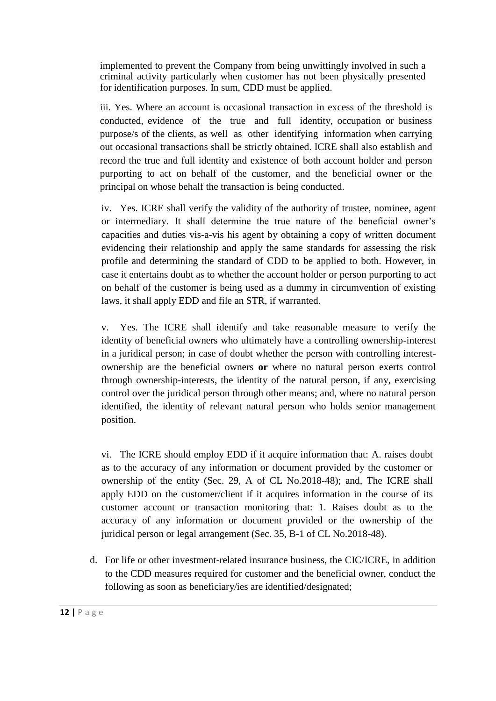implemented to prevent the Company from being unwittingly involved in such a criminal activity particularly when customer has not been physically presented for identification purposes. In sum, CDD must be applied.

iii. Yes. Where an account is occasional transaction in excess of the threshold is conducted, evidence of the true and full identity, occupation or business purpose/s of the clients, as well as other identifying information when carrying out occasional transactions shall be strictly obtained. ICRE shall also establish and record the true and full identity and existence of both account holder and person purporting to act on behalf of the customer, and the beneficial owner or the principal on whose behalf the transaction is being conducted.

iv. Yes. ICRE shall verify the validity of the authority of trustee, nominee, agent or intermediary. It shall determine the true nature of the beneficial owner's capacities and duties vis-a-vis his agent by obtaining a copy of written document evidencing their relationship and apply the same standards for assessing the risk profile and determining the standard of CDD to be applied to both. However, in case it entertains doubt as to whether the account holder or person purporting to act on behalf of the customer is being used as a dummy in circumvention of existing laws, it shall apply EDD and file an STR, if warranted.

v. Yes. The ICRE shall identify and take reasonable measure to verify the identity of beneficial owners who ultimately have a controlling ownership-interest in a juridical person; in case of doubt whether the person with controlling interestownership are the beneficial owners **or** where no natural person exerts control through ownership-interests, the identity of the natural person, if any, exercising control over the juridical person through other means; and, where no natural person identified, the identity of relevant natural person who holds senior management position.

vi. The ICRE should employ EDD if it acquire information that: A. raises doubt as to the accuracy of any information or document provided by the customer or ownership of the entity (Sec. 29, A of CL No.2018-48); and, The ICRE shall apply EDD on the customer/client if it acquires information in the course of its customer account or transaction monitoring that: 1. Raises doubt as to the accuracy of any information or document provided or the ownership of the juridical person or legal arrangement (Sec. 35, B-1 of CL No.2018-48).

d. For life or other investment-related insurance business, the CIC/ICRE, in addition to the CDD measures required for customer and the beneficial owner, conduct the following as soon as beneficiary/ies are identified/designated;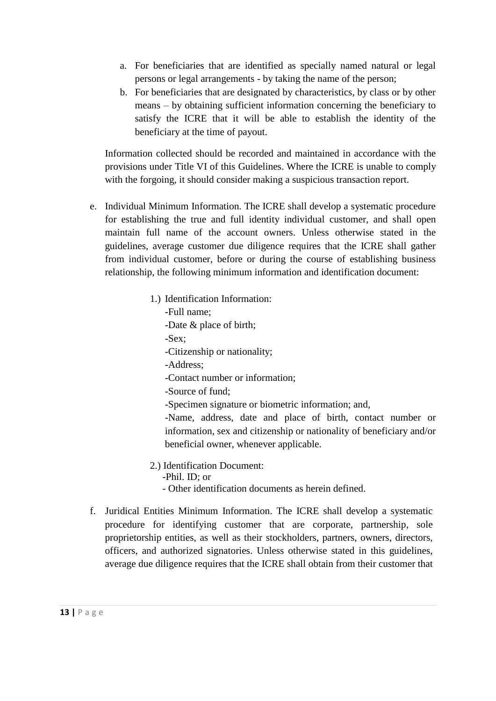- a. For beneficiaries that are identified as specially named natural or legal persons or legal arrangements - by taking the name of the person;
- b. For beneficiaries that are designated by characteristics, by class or by other means – by obtaining sufficient information concerning the beneficiary to satisfy the ICRE that it will be able to establish the identity of the beneficiary at the time of payout.

Information collected should be recorded and maintained in accordance with the provisions under Title VI of this Guidelines. Where the ICRE is unable to comply with the forgoing, it should consider making a suspicious transaction report.

- e. Individual Minimum Information. The ICRE shall develop a systematic procedure for establishing the true and full identity individual customer, and shall open maintain full name of the account owners. Unless otherwise stated in the guidelines, average customer due diligence requires that the ICRE shall gather from individual customer, before or during the course of establishing business relationship, the following minimum information and identification document:
	- 1.) Identification Information:
		- -Full name;
		- -Date & place of birth;
		- -Sex;
		- -Citizenship or nationality;
		- -Address;
		- -Contact number or information;
		- -Source of fund;
		- -Specimen signature or biometric information; and,

-Name, address, date and place of birth, contact number or information, sex and citizenship or nationality of beneficiary and/or beneficial owner, whenever applicable.

- 2.) Identification Document:
	- -Phil. ID; or
	- Other identification documents as herein defined.
- f. Juridical Entities Minimum Information. The ICRE shall develop a systematic procedure for identifying customer that are corporate, partnership, sole proprietorship entities, as well as their stockholders, partners, owners, directors, officers, and authorized signatories. Unless otherwise stated in this guidelines, average due diligence requires that the ICRE shall obtain from their customer that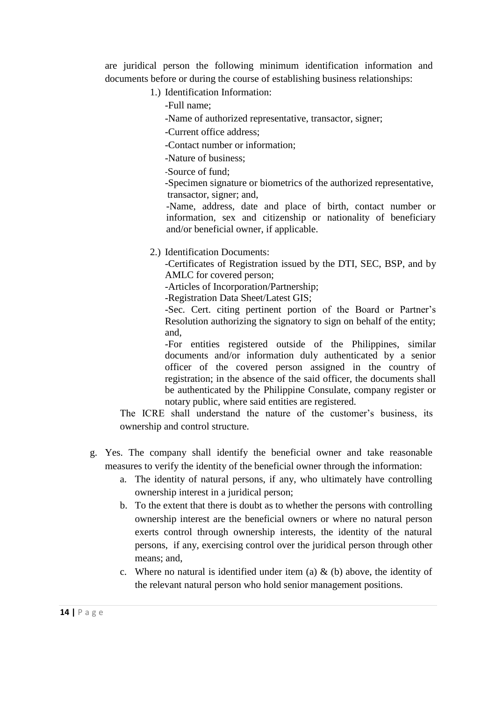are juridical person the following minimum identification information and documents before or during the course of establishing business relationships:

- 1.) Identification Information:
	- -Full name;
	- -Name of authorized representative, transactor, signer;
	- -Current office address;
	- -Contact number or information;
	- -Nature of business;
	- -Source of fund;
	- -Specimen signature or biometrics of the authorized representative, transactor, signer; and,
	- -Name, address, date and place of birth, contact number or information, sex and citizenship or nationality of beneficiary and/or beneficial owner, if applicable.
- 2.) Identification Documents:
	- -Certificates of Registration issued by the DTI, SEC, BSP, and by AMLC for covered person;
	- -Articles of Incorporation/Partnership;
	- -Registration Data Sheet/Latest GIS;
	- -Sec. Cert. citing pertinent portion of the Board or Partner's Resolution authorizing the signatory to sign on behalf of the entity; and,
	- -For entities registered outside of the Philippines, similar documents and/or information duly authenticated by a senior officer of the covered person assigned in the country of registration; in the absence of the said officer, the documents shall be authenticated by the Philippine Consulate, company register or notary public, where said entities are registered.
- The ICRE shall understand the nature of the customer's business, its ownership and control structure.
- g. Yes. The company shall identify the beneficial owner and take reasonable measures to verify the identity of the beneficial owner through the information:
	- a. The identity of natural persons, if any, who ultimately have controlling ownership interest in a juridical person;
	- b. To the extent that there is doubt as to whether the persons with controlling ownership interest are the beneficial owners or where no natural person exerts control through ownership interests, the identity of the natural persons, if any, exercising control over the juridical person through other means; and,
	- c. Where no natural is identified under item (a)  $\&$  (b) above, the identity of the relevant natural person who hold senior management positions.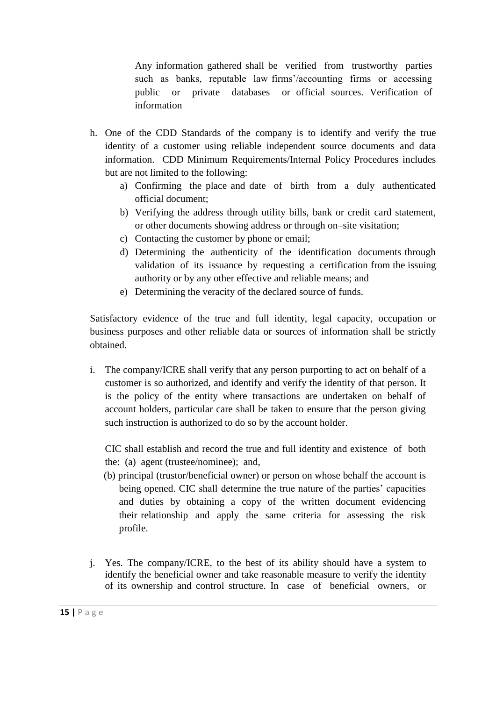Any information gathered shall be verified from trustworthy parties such as banks, reputable law firms'/accounting firms or accessing public or private databases or official sources. Verification of information

- h. One of the CDD Standards of the company is to identify and verify the true identity of a customer using reliable independent source documents and data information. CDD Minimum Requirements/Internal Policy Procedures includes but are not limited to the following:
	- a) Confirming the place and date of birth from a duly authenticated official document;
	- b) Verifying the address through utility bills, bank or credit card statement, or other documents showing address or through on–site visitation;
	- c) Contacting the customer by phone or email;
	- d) Determining the authenticity of the identification documents through validation of its issuance by requesting a certification from the issuing authority or by any other effective and reliable means; and
	- e) Determining the veracity of the declared source of funds.

Satisfactory evidence of the true and full identity, legal capacity, occupation or business purposes and other reliable data or sources of information shall be strictly obtained.

i. The company/ICRE shall verify that any person purporting to act on behalf of a customer is so authorized, and identify and verify the identity of that person. It is the policy of the entity where transactions are undertaken on behalf of account holders, particular care shall be taken to ensure that the person giving such instruction is authorized to do so by the account holder.

CIC shall establish and record the true and full identity and existence of both the: (a) agent (trustee/nominee); and,

- (b) principal (trustor/beneficial owner) or person on whose behalf the account is being opened. CIC shall determine the true nature of the parties' capacities and duties by obtaining a copy of the written document evidencing their relationship and apply the same criteria for assessing the risk profile.
- j. Yes. The company/ICRE, to the best of its ability should have a system to identify the beneficial owner and take reasonable measure to verify the identity of its ownership and control structure. In case of beneficial owners, or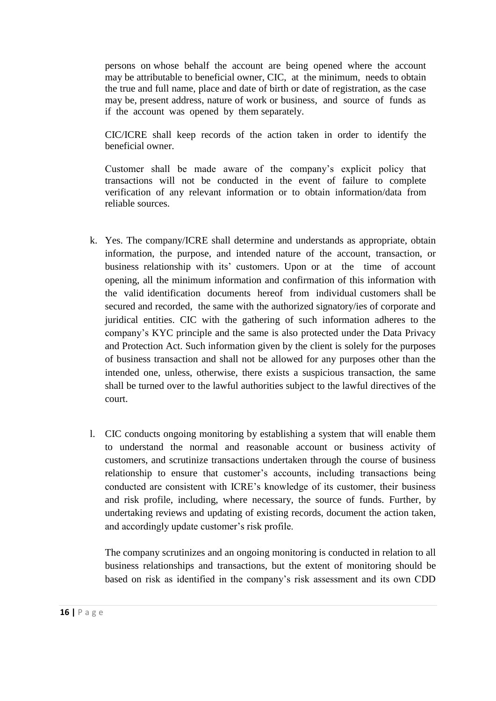persons on whose behalf the account are being opened where the account may be attributable to beneficial owner, CIC, at the minimum, needs to obtain the true and full name, place and date of birth or date of registration, as the case may be, present address, nature of work or business, and source of funds as if the account was opened by them separately.

CIC/ICRE shall keep records of the action taken in order to identify the beneficial owner.

Customer shall be made aware of the company's explicit policy that transactions will not be conducted in the event of failure to complete verification of any relevant information or to obtain information/data from reliable sources.

- k. Yes. The company/ICRE shall determine and understands as appropriate, obtain information, the purpose, and intended nature of the account, transaction, or business relationship with its' customers. Upon or at the time of account opening, all the minimum information and confirmation of this information with the valid identification documents hereof from individual customers shall be secured and recorded, the same with the authorized signatory/ies of corporate and juridical entities. CIC with the gathering of such information adheres to the company's KYC principle and the same is also protected under the Data Privacy and Protection Act. Such information given by the client is solely for the purposes of business transaction and shall not be allowed for any purposes other than the intended one, unless, otherwise, there exists a suspicious transaction, the same shall be turned over to the lawful authorities subject to the lawful directives of the court.
- l. CIC conducts ongoing monitoring by establishing a system that will enable them to understand the normal and reasonable account or business activity of customers, and scrutinize transactions undertaken through the course of business relationship to ensure that customer's accounts, including transactions being conducted are consistent with ICRE's knowledge of its customer, their business and risk profile, including, where necessary, the source of funds. Further, by undertaking reviews and updating of existing records, document the action taken, and accordingly update customer's risk profile.

The company scrutinizes and an ongoing monitoring is conducted in relation to all business relationships and transactions, but the extent of monitoring should be based on risk as identified in the company's risk assessment and its own CDD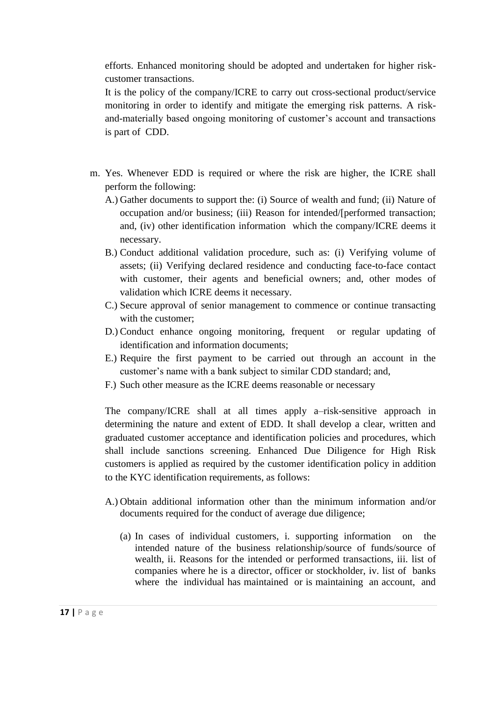efforts. Enhanced monitoring should be adopted and undertaken for higher riskcustomer transactions.

It is the policy of the company/ICRE to carry out cross-sectional product/service monitoring in order to identify and mitigate the emerging risk patterns. A riskand-materially based ongoing monitoring of customer's account and transactions is part of CDD.

- m. Yes. Whenever EDD is required or where the risk are higher, the ICRE shall perform the following:
	- A.) Gather documents to support the: (i) Source of wealth and fund; (ii) Nature of occupation and/or business; (iii) Reason for intended/[performed transaction; and, (iv) other identification information which the company/ICRE deems it necessary.
	- B.) Conduct additional validation procedure, such as: (i) Verifying volume of assets; (ii) Verifying declared residence and conducting face-to-face contact with customer, their agents and beneficial owners; and, other modes of validation which ICRE deems it necessary.
	- C.) Secure approval of senior management to commence or continue transacting with the customer;
	- D.) Conduct enhance ongoing monitoring, frequent or regular updating of identification and information documents;
	- E.) Require the first payment to be carried out through an account in the customer's name with a bank subject to similar CDD standard; and,
	- F.) Such other measure as the ICRE deems reasonable or necessary

The company/ICRE shall at all times apply a–risk-sensitive approach in determining the nature and extent of EDD. It shall develop a clear, written and graduated customer acceptance and identification policies and procedures, which shall include sanctions screening. Enhanced Due Diligence for High Risk customers is applied as required by the customer identification policy in addition to the KYC identification requirements, as follows:

- A.) Obtain additional information other than the minimum information and/or documents required for the conduct of average due diligence;
	- (a) In cases of individual customers, i. supporting information on the intended nature of the business relationship/source of funds/source of wealth, ii. Reasons for the intended or performed transactions, iii. list of companies where he is a director, officer or stockholder, iv. list of banks where the individual has maintained or is maintaining an account, and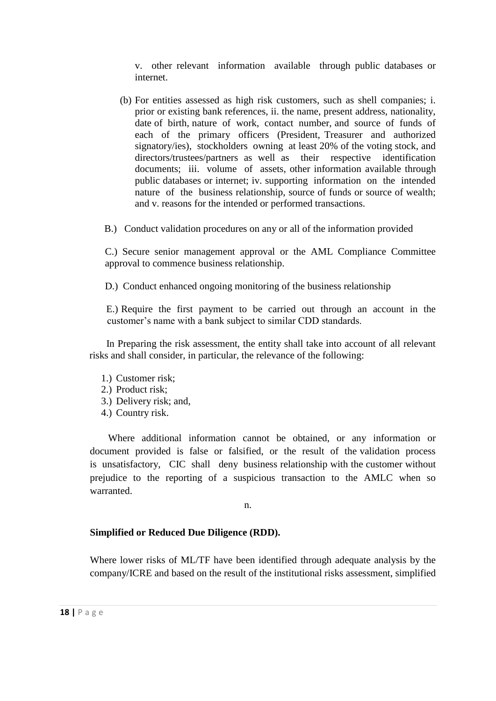v. other relevant information available through public databases or internet.

- (b) For entities assessed as high risk customers, such as shell companies; i. prior or existing bank references, ii. the name, present address, nationality, date of birth, nature of work, contact number, and source of funds of each of the primary officers (President, Treasurer and authorized signatory/ies), stockholders owning at least 20% of the voting stock, and directors/trustees/partners as well as their respective identification documents; iii. volume of assets, other information available through public databases or internet; iv. supporting information on the intended nature of the business relationship, source of funds or source of wealth; and v. reasons for the intended or performed transactions.
- B.) Conduct validation procedures on any or all of the information provided

C.) Secure senior management approval or the AML Compliance Committee approval to commence business relationship.

D.) Conduct enhanced ongoing monitoring of the business relationship

 E.) Require the first payment to be carried out through an account in the customer's name with a bank subject to similar CDD standards.

 In Preparing the risk assessment, the entity shall take into account of all relevant risks and shall consider, in particular, the relevance of the following:

- 1.) Customer risk;
- 2.) Product risk;
- 3.) Delivery risk; and,
- 4.) Country risk.

Where additional information cannot be obtained, or any information or document provided is false or falsified, or the result of the validation process is unsatisfactory, CIC shall deny business relationship with the customer without prejudice to the reporting of a suspicious transaction to the AMLC when so warranted.

n.

### **Simplified or Reduced Due Diligence (RDD).**

Where lower risks of ML/TF have been identified through adequate analysis by the company/ICRE and based on the result of the institutional risks assessment, simplified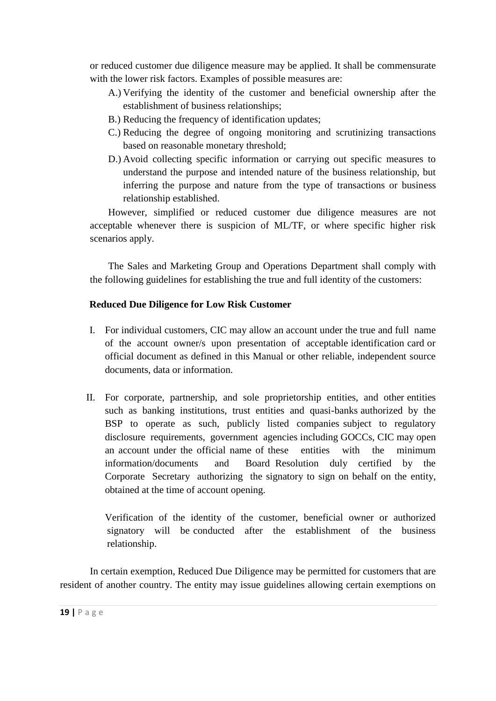or reduced customer due diligence measure may be applied. It shall be commensurate with the lower risk factors. Examples of possible measures are:

- A.) Verifying the identity of the customer and beneficial ownership after the establishment of business relationships;
- B.) Reducing the frequency of identification updates;
- C.) Reducing the degree of ongoing monitoring and scrutinizing transactions based on reasonable monetary threshold;
- D.) Avoid collecting specific information or carrying out specific measures to understand the purpose and intended nature of the business relationship, but inferring the purpose and nature from the type of transactions or business relationship established.

However, simplified or reduced customer due diligence measures are not acceptable whenever there is suspicion of ML/TF, or where specific higher risk scenarios apply.

The Sales and Marketing Group and Operations Department shall comply with the following guidelines for establishing the true and full identity of the customers:

## **Reduced Due Diligence for Low Risk Customer**

- I. For individual customers, CIC may allow an account under the true and full name of the account owner/s upon presentation of acceptable identification card or official document as defined in this Manual or other reliable, independent source documents, data or information.
- II. For corporate, partnership, and sole proprietorship entities, and other entities such as banking institutions, trust entities and quasi-banks authorized by the BSP to operate as such, publicly listed companies subject to regulatory disclosure requirements, government agencies including GOCCs, CIC may open an account under the official name of these entities with the minimum information/documents and Board Resolution duly certified by the Corporate Secretary authorizing the signatory to sign on behalf on the entity, obtained at the time of account opening.

Verification of the identity of the customer, beneficial owner or authorized signatory will be conducted after the establishment of the business relationship.

In certain exemption, Reduced Due Diligence may be permitted for customers that are resident of another country. The entity may issue guidelines allowing certain exemptions on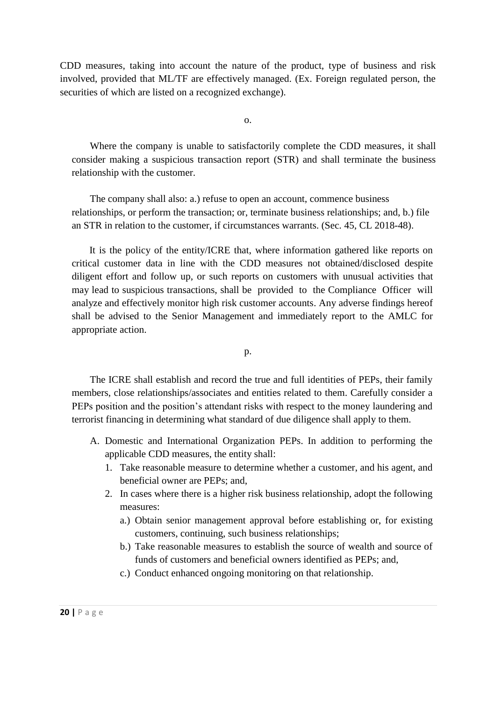CDD measures, taking into account the nature of the product, type of business and risk involved, provided that ML/TF are effectively managed. (Ex. Foreign regulated person, the securities of which are listed on a recognized exchange).

o.

Where the company is unable to satisfactorily complete the CDD measures, it shall consider making a suspicious transaction report (STR) and shall terminate the business relationship with the customer.

The company shall also: a.) refuse to open an account, commence business relationships, or perform the transaction; or, terminate business relationships; and, b.) file an STR in relation to the customer, if circumstances warrants. (Sec. 45, CL 2018-48).

It is the policy of the entity/ICRE that, where information gathered like reports on critical customer data in line with the CDD measures not obtained/disclosed despite diligent effort and follow up, or such reports on customers with unusual activities that may lead to suspicious transactions, shall be provided to the Compliance Officer will analyze and effectively monitor high risk customer accounts. Any adverse findings hereof shall be advised to the Senior Management and immediately report to the AMLC for appropriate action.

p.

The ICRE shall establish and record the true and full identities of PEPs, their family members, close relationships/associates and entities related to them. Carefully consider a PEPs position and the position's attendant risks with respect to the money laundering and terrorist financing in determining what standard of due diligence shall apply to them.

- A. Domestic and International Organization PEPs. In addition to performing the applicable CDD measures, the entity shall:
	- 1. Take reasonable measure to determine whether a customer, and his agent, and beneficial owner are PEPs; and,
	- 2. In cases where there is a higher risk business relationship, adopt the following measures:
		- a.) Obtain senior management approval before establishing or, for existing customers, continuing, such business relationships;
		- b.) Take reasonable measures to establish the source of wealth and source of funds of customers and beneficial owners identified as PEPs; and,
		- c.) Conduct enhanced ongoing monitoring on that relationship.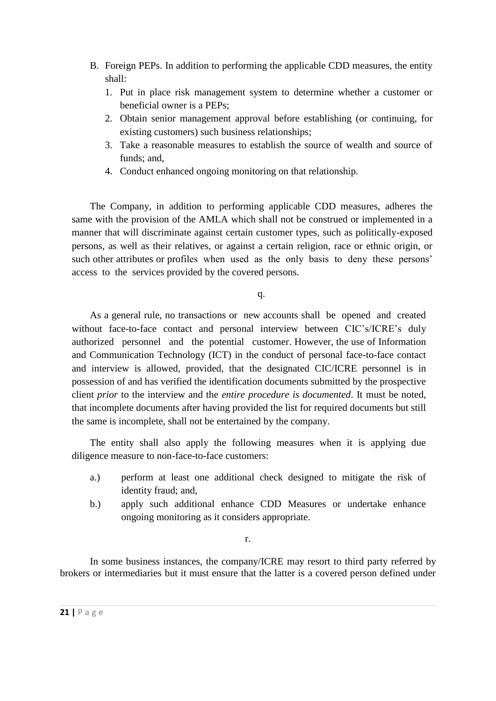- B. Foreign PEPs. In addition to performing the applicable CDD measures, the entity shall:
	- 1. Put in place risk management system to determine whether a customer or beneficial owner is a PEPs;
	- 2. Obtain senior management approval before establishing (or continuing, for existing customers) such business relationships;
	- 3. Take a reasonable measures to establish the source of wealth and source of funds; and,
	- 4. Conduct enhanced ongoing monitoring on that relationship.

The Company, in addition to performing applicable CDD measures, adheres the same with the provision of the AMLA which shall not be construed or implemented in a manner that will discriminate against certain customer types, such as politically-exposed persons, as well as their relatives, or against a certain religion, race or ethnic origin, or such other attributes or profiles when used as the only basis to deny these persons' access to the services provided by the covered persons.

q.

As a general rule, no transactions or new accounts shall be opened and created without face-to-face contact and personal interview between CIC's/ICRE's duly authorized personnel and the potential customer. However, the use of Information and Communication Technology (ICT) in the conduct of personal face-to-face contact and interview is allowed, provided, that the designated CIC/ICRE personnel is in possession of and has verified the identification documents submitted by the prospective client *prior* to the interview and the *entire procedure is documented*. It must be noted, that incomplete documents after having provided the list for required documents but still the same is incomplete, shall not be entertained by the company.

The entity shall also apply the following measures when it is applying due diligence measure to non-face-to-face customers:

- a.) perform at least one additional check designed to mitigate the risk of identity fraud; and,
- b.) apply such additional enhance CDD Measures or undertake enhance ongoing monitoring as it considers appropriate.

r.

In some business instances, the company/ICRE may resort to third party referred by brokers or intermediaries but it must ensure that the latter is a covered person defined under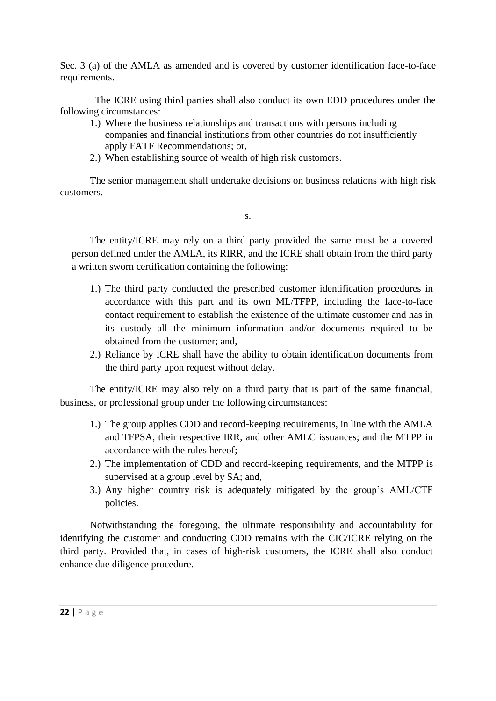Sec. 3 (a) of the AMLA as amended and is covered by customer identification face-to-face requirements.

The ICRE using third parties shall also conduct its own EDD procedures under the following circumstances:

- 1.) Where the business relationships and transactions with persons including companies and financial institutions from other countries do not insufficiently apply FATF Recommendations; or,
- 2.) When establishing source of wealth of high risk customers.

The senior management shall undertake decisions on business relations with high risk customers.

s.

The entity/ICRE may rely on a third party provided the same must be a covered person defined under the AMLA, its RIRR, and the ICRE shall obtain from the third party a written sworn certification containing the following:

- 1.) The third party conducted the prescribed customer identification procedures in accordance with this part and its own ML/TFPP, including the face-to-face contact requirement to establish the existence of the ultimate customer and has in its custody all the minimum information and/or documents required to be obtained from the customer; and,
- 2.) Reliance by ICRE shall have the ability to obtain identification documents from the third party upon request without delay.

The entity/ICRE may also rely on a third party that is part of the same financial, business, or professional group under the following circumstances:

- 1.) The group applies CDD and record-keeping requirements, in line with the AMLA and TFPSA, their respective IRR, and other AMLC issuances; and the MTPP in accordance with the rules hereof;
- 2.) The implementation of CDD and record-keeping requirements, and the MTPP is supervised at a group level by SA; and,
- 3.) Any higher country risk is adequately mitigated by the group's AML/CTF policies.

Notwithstanding the foregoing, the ultimate responsibility and accountability for identifying the customer and conducting CDD remains with the CIC/ICRE relying on the third party. Provided that, in cases of high-risk customers, the ICRE shall also conduct enhance due diligence procedure.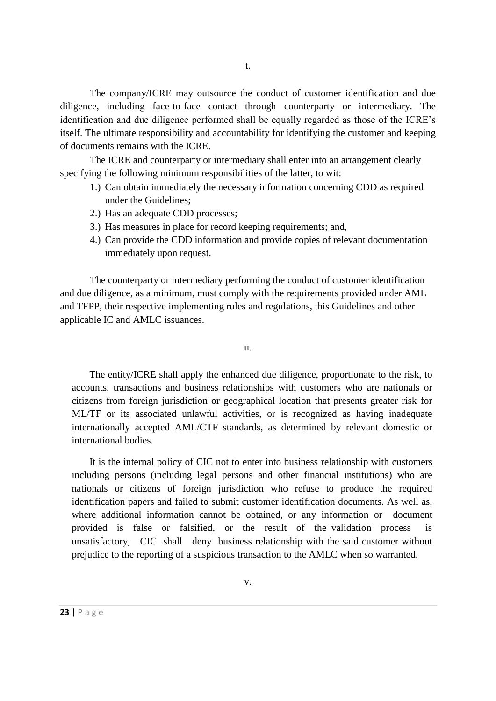The company/ICRE may outsource the conduct of customer identification and due diligence, including face-to-face contact through counterparty or intermediary. The identification and due diligence performed shall be equally regarded as those of the ICRE's itself. The ultimate responsibility and accountability for identifying the customer and keeping of documents remains with the ICRE.

The ICRE and counterparty or intermediary shall enter into an arrangement clearly specifying the following minimum responsibilities of the latter, to wit:

- 1.) Can obtain immediately the necessary information concerning CDD as required under the Guidelines;
- 2.) Has an adequate CDD processes;
- 3.) Has measures in place for record keeping requirements; and,
- 4.) Can provide the CDD information and provide copies of relevant documentation immediately upon request.

The counterparty or intermediary performing the conduct of customer identification and due diligence, as a minimum, must comply with the requirements provided under AML and TFPP, their respective implementing rules and regulations, this Guidelines and other applicable IC and AMLC issuances.

u.

The entity/ICRE shall apply the enhanced due diligence, proportionate to the risk, to accounts, transactions and business relationships with customers who are nationals or citizens from foreign jurisdiction or geographical location that presents greater risk for ML/TF or its associated unlawful activities, or is recognized as having inadequate internationally accepted AML/CTF standards, as determined by relevant domestic or international bodies.

It is the internal policy of CIC not to enter into business relationship with customers including persons (including legal persons and other financial institutions) who are nationals or citizens of foreign jurisdiction who refuse to produce the required identification papers and failed to submit customer identification documents. As well as, where additional information cannot be obtained, or any information or document provided is false or falsified, or the result of the validation process is unsatisfactory, CIC shall deny business relationship with the said customer without prejudice to the reporting of a suspicious transaction to the AMLC when so warranted.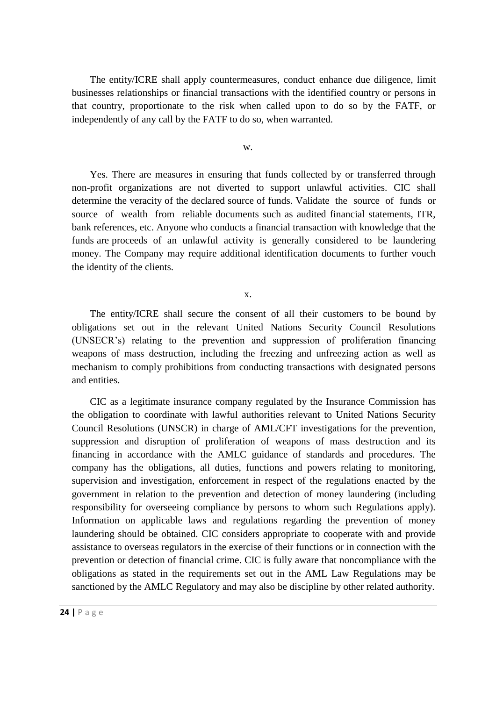The entity/ICRE shall apply countermeasures, conduct enhance due diligence, limit businesses relationships or financial transactions with the identified country or persons in that country, proportionate to the risk when called upon to do so by the FATF, or independently of any call by the FATF to do so, when warranted.

w.

Yes. There are measures in ensuring that funds collected by or transferred through non-profit organizations are not diverted to support unlawful activities. CIC shall determine the veracity of the declared source of funds. Validate the source of funds or source of wealth from reliable documents such as audited financial statements, ITR, bank references, etc. Anyone who conducts a financial transaction with knowledge that the funds are proceeds of an unlawful activity is generally considered to be laundering money. The Company may require additional identification documents to further vouch the identity of the clients.

x.

The entity/ICRE shall secure the consent of all their customers to be bound by obligations set out in the relevant United Nations Security Council Resolutions (UNSECR's) relating to the prevention and suppression of proliferation financing weapons of mass destruction, including the freezing and unfreezing action as well as mechanism to comply prohibitions from conducting transactions with designated persons and entities.

CIC as a legitimate insurance company regulated by the Insurance Commission has the obligation to coordinate with lawful authorities relevant to United Nations Security Council Resolutions (UNSCR) in charge of AML/CFT investigations for the prevention, suppression and disruption of proliferation of weapons of mass destruction and its financing in accordance with the AMLC guidance of standards and procedures. The company has the obligations, all duties, functions and powers relating to monitoring, supervision and investigation, enforcement in respect of the regulations enacted by the government in relation to the prevention and detection of money laundering (including responsibility for overseeing compliance by persons to whom such Regulations apply). Information on applicable laws and regulations regarding the prevention of money laundering should be obtained. CIC considers appropriate to cooperate with and provide assistance to overseas regulators in the exercise of their functions or in connection with the prevention or detection of financial crime. CIC is fully aware that noncompliance with the obligations as stated in the requirements set out in the AML Law Regulations may be sanctioned by the AMLC Regulatory and may also be discipline by other related authority.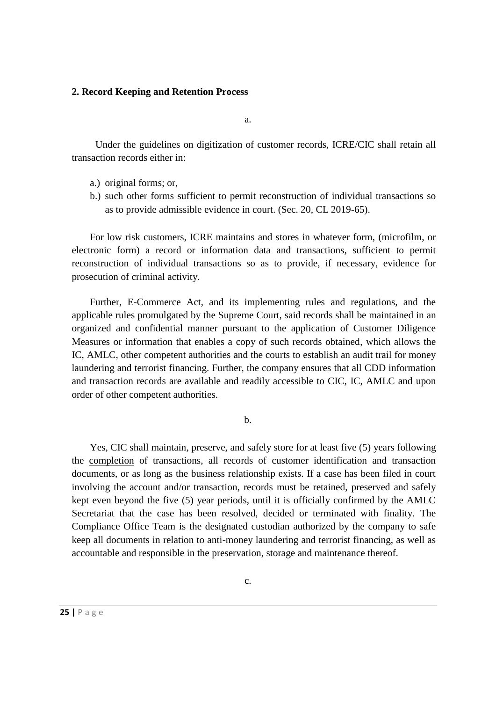#### **2. Record Keeping and Retention Process**

a.

Under the guidelines on digitization of customer records, ICRE/CIC shall retain all transaction records either in:

- a.) original forms; or,
- b.) such other forms sufficient to permit reconstruction of individual transactions so as to provide admissible evidence in court. (Sec. 20, CL 2019-65).

For low risk customers, ICRE maintains and stores in whatever form, (microfilm, or electronic form) a record or information data and transactions, sufficient to permit reconstruction of individual transactions so as to provide, if necessary, evidence for prosecution of criminal activity.

Further, E-Commerce Act, and its implementing rules and regulations, and the applicable rules promulgated by the Supreme Court, said records shall be maintained in an organized and confidential manner pursuant to the application of Customer Diligence Measures or information that enables a copy of such records obtained, which allows the IC, AMLC, other competent authorities and the courts to establish an audit trail for money laundering and terrorist financing. Further, the company ensures that all CDD information and transaction records are available and readily accessible to CIC, IC, AMLC and upon order of other competent authorities.

b.

Yes, CIC shall maintain, preserve, and safely store for at least five (5) years following the completion of transactions, all records of customer identification and transaction documents, or as long as the business relationship exists. If a case has been filed in court involving the account and/or transaction, records must be retained, preserved and safely kept even beyond the five (5) year periods, until it is officially confirmed by the AMLC Secretariat that the case has been resolved, decided or terminated with finality. The Compliance Office Team is the designated custodian authorized by the company to safe keep all documents in relation to anti-money laundering and terrorist financing, as well as accountable and responsible in the preservation, storage and maintenance thereof.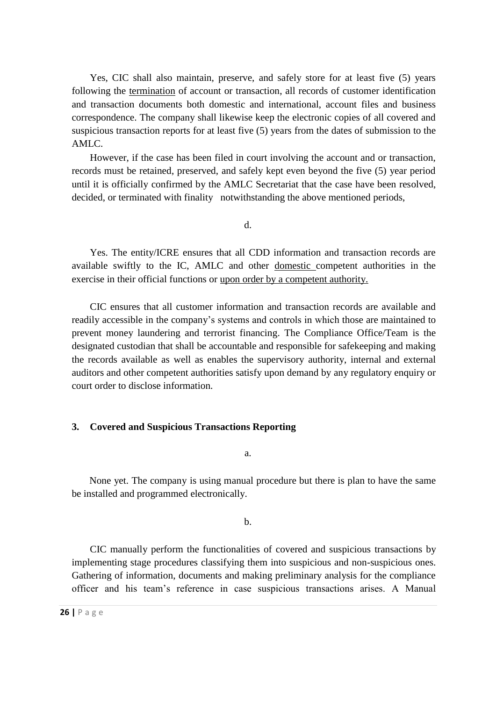Yes, CIC shall also maintain, preserve, and safely store for at least five (5) years following the termination of account or transaction, all records of customer identification and transaction documents both domestic and international, account files and business correspondence. The company shall likewise keep the electronic copies of all covered and suspicious transaction reports for at least five (5) years from the dates of submission to the AMLC.

However, if the case has been filed in court involving the account and or transaction, records must be retained, preserved, and safely kept even beyond the five (5) year period until it is officially confirmed by the AMLC Secretariat that the case have been resolved, decided, or terminated with finality notwithstanding the above mentioned periods,

d.

Yes. The entity/ICRE ensures that all CDD information and transaction records are available swiftly to the IC, AMLC and other domestic competent authorities in the exercise in their official functions or upon order by a competent authority.

CIC ensures that all customer information and transaction records are available and readily accessible in the company's systems and controls in which those are maintained to prevent money laundering and terrorist financing. The Compliance Office/Team is the designated custodian that shall be accountable and responsible for safekeeping and making the records available as well as enables the supervisory authority, internal and external auditors and other competent authorities satisfy upon demand by any regulatory enquiry or court order to disclose information.

#### **3. Covered and Suspicious Transactions Reporting**

a.

None yet. The company is using manual procedure but there is plan to have the same be installed and programmed electronically.

b.

CIC manually perform the functionalities of covered and suspicious transactions by implementing stage procedures classifying them into suspicious and non-suspicious ones. Gathering of information, documents and making preliminary analysis for the compliance officer and his team's reference in case suspicious transactions arises. A Manual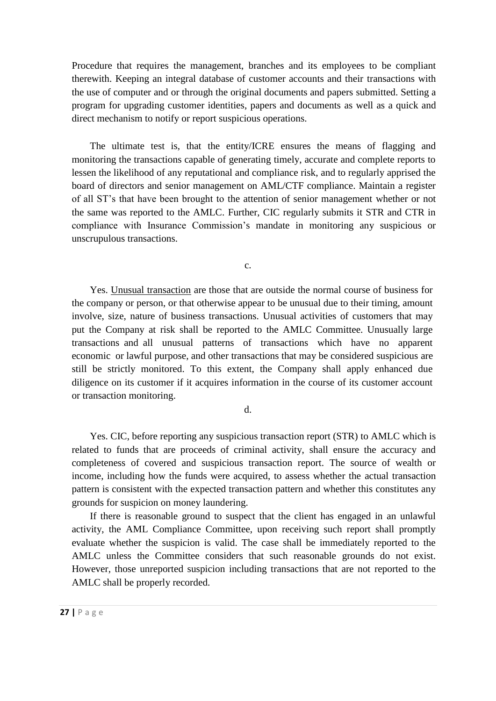Procedure that requires the management, branches and its employees to be compliant therewith. Keeping an integral database of customer accounts and their transactions with the use of computer and or through the original documents and papers submitted. Setting a program for upgrading customer identities, papers and documents as well as a quick and direct mechanism to notify or report suspicious operations.

The ultimate test is, that the entity/ICRE ensures the means of flagging and monitoring the transactions capable of generating timely, accurate and complete reports to lessen the likelihood of any reputational and compliance risk, and to regularly apprised the board of directors and senior management on AML/CTF compliance. Maintain a register of all ST's that have been brought to the attention of senior management whether or not the same was reported to the AMLC. Further, CIC regularly submits it STR and CTR in compliance with Insurance Commission's mandate in monitoring any suspicious or unscrupulous transactions.

c.

Yes. Unusual transaction are those that are outside the normal course of business for the company or person, or that otherwise appear to be unusual due to their timing, amount involve, size, nature of business transactions. Unusual activities of customers that may put the Company at risk shall be reported to the AMLC Committee. Unusually large transactions and all unusual patterns of transactions which have no apparent economic or lawful purpose, and other transactions that may be considered suspicious are still be strictly monitored. To this extent, the Company shall apply enhanced due diligence on its customer if it acquires information in the course of its customer account or transaction monitoring.

d.

Yes. CIC, before reporting any suspicious transaction report (STR) to AMLC which is related to funds that are proceeds of criminal activity, shall ensure the accuracy and completeness of covered and suspicious transaction report. The source of wealth or income, including how the funds were acquired, to assess whether the actual transaction pattern is consistent with the expected transaction pattern and whether this constitutes any grounds for suspicion on money laundering.

If there is reasonable ground to suspect that the client has engaged in an unlawful activity, the AML Compliance Committee, upon receiving such report shall promptly evaluate whether the suspicion is valid. The case shall be immediately reported to the AMLC unless the Committee considers that such reasonable grounds do not exist. However, those unreported suspicion including transactions that are not reported to the AMLC shall be properly recorded.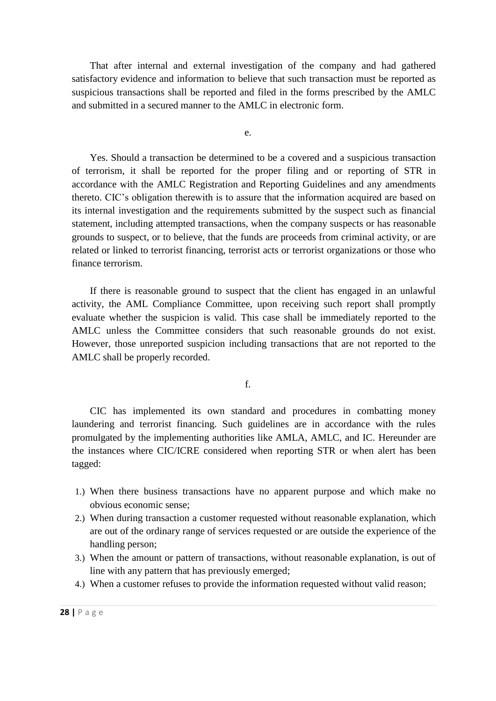That after internal and external investigation of the company and had gathered satisfactory evidence and information to believe that such transaction must be reported as suspicious transactions shall be reported and filed in the forms prescribed by the AMLC and submitted in a secured manner to the AMLC in electronic form.

e.

Yes. Should a transaction be determined to be a covered and a suspicious transaction of terrorism, it shall be reported for the proper filing and or reporting of STR in accordance with the AMLC Registration and Reporting Guidelines and any amendments thereto. CIC's obligation therewith is to assure that the information acquired are based on its internal investigation and the requirements submitted by the suspect such as financial statement, including attempted transactions, when the company suspects or has reasonable grounds to suspect, or to believe, that the funds are proceeds from criminal activity, or are related or linked to terrorist financing, terrorist acts or terrorist organizations or those who finance terrorism.

If there is reasonable ground to suspect that the client has engaged in an unlawful activity, the AML Compliance Committee, upon receiving such report shall promptly evaluate whether the suspicion is valid. This case shall be immediately reported to the AMLC unless the Committee considers that such reasonable grounds do not exist. However, those unreported suspicion including transactions that are not reported to the AMLC shall be properly recorded.

f.

CIC has implemented its own standard and procedures in combatting money laundering and terrorist financing. Such guidelines are in accordance with the rules promulgated by the implementing authorities like AMLA, AMLC, and IC. Hereunder are the instances where CIC/ICRE considered when reporting STR or when alert has been tagged:

- 1.) When there business transactions have no apparent purpose and which make no obvious economic sense;
- 2.) When during transaction a customer requested without reasonable explanation, which are out of the ordinary range of services requested or are outside the experience of the handling person;
- 3.) When the amount or pattern of transactions, without reasonable explanation, is out of line with any pattern that has previously emerged;
- 4.) When a customer refuses to provide the information requested without valid reason;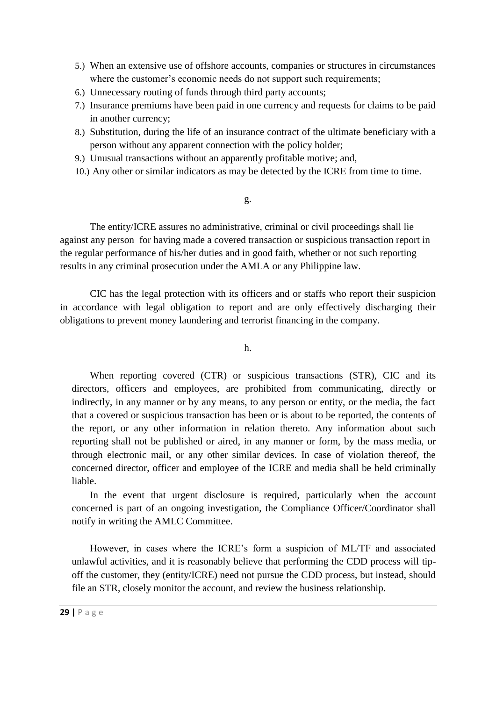- 5.) When an extensive use of offshore accounts, companies or structures in circumstances where the customer's economic needs do not support such requirements;
- 6.) Unnecessary routing of funds through third party accounts;
- 7.) Insurance premiums have been paid in one currency and requests for claims to be paid in another currency;
- 8.) Substitution, during the life of an insurance contract of the ultimate beneficiary with a person without any apparent connection with the policy holder;
- 9.) Unusual transactions without an apparently profitable motive; and,
- 10.) Any other or similar indicators as may be detected by the ICRE from time to time.

#### g.

The entity/ICRE assures no administrative, criminal or civil proceedings shall lie against any person for having made a covered transaction or suspicious transaction report in the regular performance of his/her duties and in good faith, whether or not such reporting results in any criminal prosecution under the AMLA or any Philippine law.

CIC has the legal protection with its officers and or staffs who report their suspicion in accordance with legal obligation to report and are only effectively discharging their obligations to prevent money laundering and terrorist financing in the company.

h.

When reporting covered (CTR) or suspicious transactions (STR), CIC and its directors, officers and employees, are prohibited from communicating, directly or indirectly, in any manner or by any means, to any person or entity, or the media, the fact that a covered or suspicious transaction has been or is about to be reported, the contents of the report, or any other information in relation thereto. Any information about such reporting shall not be published or aired, in any manner or form, by the mass media, or through electronic mail, or any other similar devices. In case of violation thereof, the concerned director, officer and employee of the ICRE and media shall be held criminally liable.

In the event that urgent disclosure is required, particularly when the account concerned is part of an ongoing investigation, the Compliance Officer/Coordinator shall notify in writing the AMLC Committee.

However, in cases where the ICRE's form a suspicion of ML/TF and associated unlawful activities, and it is reasonably believe that performing the CDD process will tipoff the customer, they (entity/ICRE) need not pursue the CDD process, but instead, should file an STR, closely monitor the account, and review the business relationship.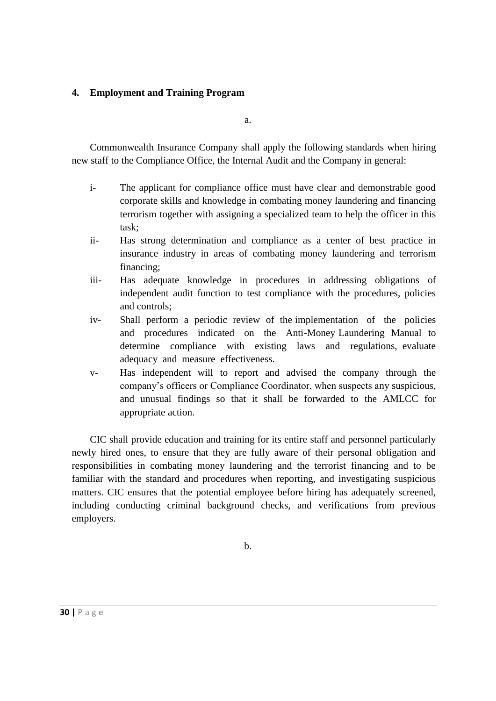### **4. Employment and Training Program**

a.

Commonwealth Insurance Company shall apply the following standards when hiring new staff to the Compliance Office, the Internal Audit and the Company in general:

- i- The applicant for compliance office must have clear and demonstrable good corporate skills and knowledge in combating money laundering and financing terrorism together with assigning a specialized team to help the officer in this task;
- ii- Has strong determination and compliance as a center of best practice in insurance industry in areas of combating money laundering and terrorism financing;
- iii- Has adequate knowledge in procedures in addressing obligations of independent audit function to test compliance with the procedures, policies and controls;
- iv- Shall perform a periodic review of the implementation of the policies and procedures indicated on the Anti-Money Laundering Manual to determine compliance with existing laws and regulations, evaluate adequacy and measure effectiveness.
- v- Has independent will to report and advised the company through the company's officers or Compliance Coordinator, when suspects any suspicious, and unusual findings so that it shall be forwarded to the AMLCC for appropriate action.

CIC shall provide education and training for its entire staff and personnel particularly newly hired ones, to ensure that they are fully aware of their personal obligation and responsibilities in combating money laundering and the terrorist financing and to be familiar with the standard and procedures when reporting, and investigating suspicious matters. CIC ensures that the potential employee before hiring has adequately screened, including conducting criminal background checks, and verifications from previous employers.

b.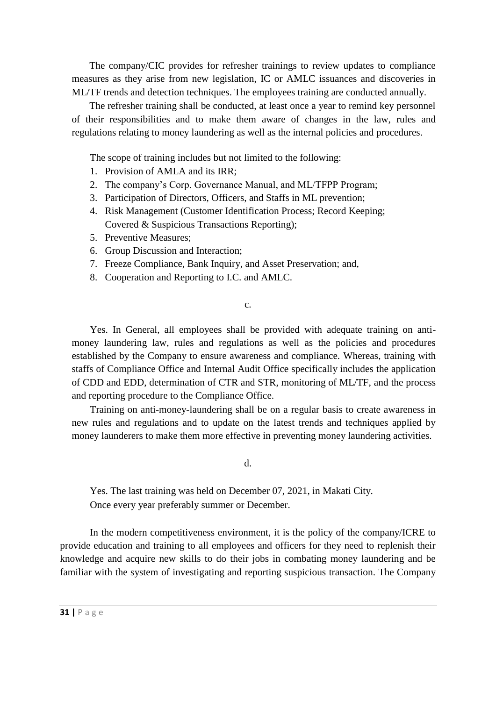The company/CIC provides for refresher trainings to review updates to compliance measures as they arise from new legislation, IC or AMLC issuances and discoveries in ML/TF trends and detection techniques. The employees training are conducted annually.

The refresher training shall be conducted, at least once a year to remind key personnel of their responsibilities and to make them aware of changes in the law, rules and regulations relating to money laundering as well as the internal policies and procedures.

The scope of training includes but not limited to the following:

- 1. Provision of AMLA and its IRR;
- 2. The company's Corp. Governance Manual, and ML/TFPP Program;
- 3. Participation of Directors, Officers, and Staffs in ML prevention;
- 4. Risk Management (Customer Identification Process; Record Keeping; Covered & Suspicious Transactions Reporting);
- 5. Preventive Measures;
- 6. Group Discussion and Interaction;
- 7. Freeze Compliance, Bank Inquiry, and Asset Preservation; and,
- 8. Cooperation and Reporting to I.C. and AMLC.

c.

Yes. In General, all employees shall be provided with adequate training on antimoney laundering law, rules and regulations as well as the policies and procedures established by the Company to ensure awareness and compliance. Whereas, training with staffs of Compliance Office and Internal Audit Office specifically includes the application of CDD and EDD, determination of CTR and STR, monitoring of ML/TF, and the process and reporting procedure to the Compliance Office.

Training on anti-money-laundering shall be on a regular basis to create awareness in new rules and regulations and to update on the latest trends and techniques applied by money launderers to make them more effective in preventing money laundering activities.

d.

Yes. The last training was held on December 07, 2021, in Makati City. Once every year preferably summer or December.

In the modern competitiveness environment, it is the policy of the company/ICRE to provide education and training to all employees and officers for they need to replenish their knowledge and acquire new skills to do their jobs in combating money laundering and be familiar with the system of investigating and reporting suspicious transaction. The Company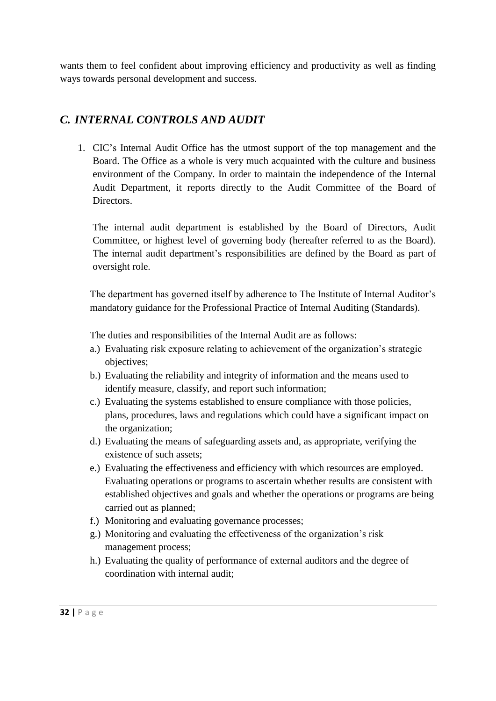wants them to feel confident about improving efficiency and productivity as well as finding ways towards personal development and success.

# *C. INTERNAL CONTROLS AND AUDIT*

1. CIC's Internal Audit Office has the utmost support of the top management and the Board. The Office as a whole is very much acquainted with the culture and business environment of the Company. In order to maintain the independence of the Internal Audit Department, it reports directly to the Audit Committee of the Board of Directors.

The internal audit department is established by the Board of Directors, Audit Committee, or highest level of governing body (hereafter referred to as the Board). The internal audit department's responsibilities are defined by the Board as part of oversight role.

The department has governed itself by adherence to The Institute of Internal Auditor's mandatory guidance for the Professional Practice of Internal Auditing (Standards).

The duties and responsibilities of the Internal Audit are as follows:

- a.) Evaluating risk exposure relating to achievement of the organization's strategic objectives;
- b.) Evaluating the reliability and integrity of information and the means used to identify measure, classify, and report such information;
- c.) Evaluating the systems established to ensure compliance with those policies, plans, procedures, laws and regulations which could have a significant impact on the organization;
- d.) Evaluating the means of safeguarding assets and, as appropriate, verifying the existence of such assets;
- e.) Evaluating the effectiveness and efficiency with which resources are employed. Evaluating operations or programs to ascertain whether results are consistent with established objectives and goals and whether the operations or programs are being carried out as planned;
- f.) Monitoring and evaluating governance processes;
- g.) Monitoring and evaluating the effectiveness of the organization's risk management process;
- h.) Evaluating the quality of performance of external auditors and the degree of coordination with internal audit;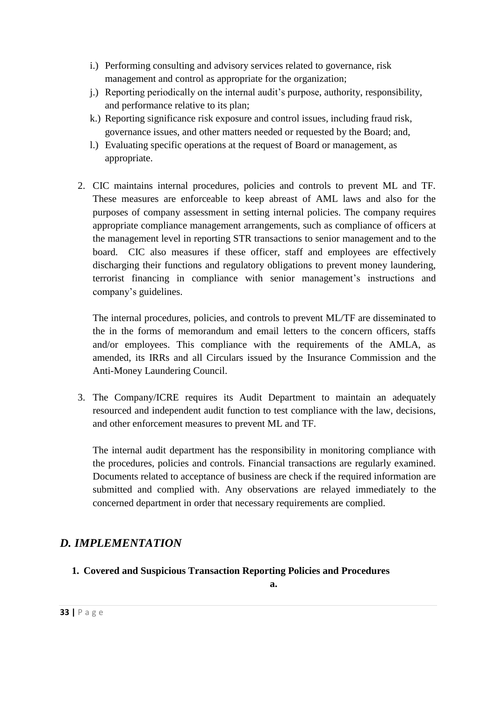- i.) Performing consulting and advisory services related to governance, risk management and control as appropriate for the organization;
- j.) Reporting periodically on the internal audit's purpose, authority, responsibility, and performance relative to its plan;
- k.) Reporting significance risk exposure and control issues, including fraud risk, governance issues, and other matters needed or requested by the Board; and,
- l.) Evaluating specific operations at the request of Board or management, as appropriate.
- 2. CIC maintains internal procedures, policies and controls to prevent ML and TF. These measures are enforceable to keep abreast of AML laws and also for the purposes of company assessment in setting internal policies. The company requires appropriate compliance management arrangements, such as compliance of officers at the management level in reporting STR transactions to senior management and to the board. CIC also measures if these officer, staff and employees are effectively discharging their functions and regulatory obligations to prevent money laundering, terrorist financing in compliance with senior management's instructions and company's guidelines.

The internal procedures, policies, and controls to prevent ML/TF are disseminated to the in the forms of memorandum and email letters to the concern officers, staffs and/or employees. This compliance with the requirements of the AMLA, as amended, its IRRs and all Circulars issued by the Insurance Commission and the Anti-Money Laundering Council.

3. The Company/ICRE requires its Audit Department to maintain an adequately resourced and independent audit function to test compliance with the law, decisions, and other enforcement measures to prevent ML and TF.

The internal audit department has the responsibility in monitoring compliance with the procedures, policies and controls. Financial transactions are regularly examined. Documents related to acceptance of business are check if the required information are submitted and complied with. Any observations are relayed immediately to the concerned department in order that necessary requirements are complied.

# *D. IMPLEMENTATION*

**1. Covered and Suspicious Transaction Reporting Policies and Procedures**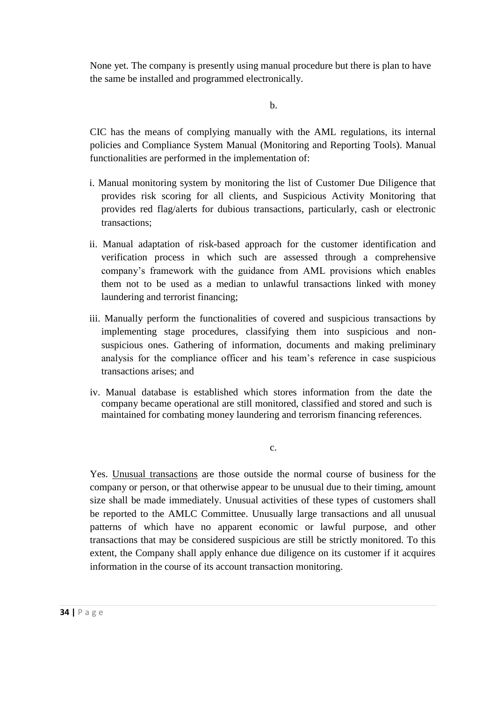None yet. The company is presently using manual procedure but there is plan to have the same be installed and programmed electronically.

b.

CIC has the means of complying manually with the AML regulations, its internal policies and Compliance System Manual (Monitoring and Reporting Tools). Manual functionalities are performed in the implementation of:

- i. Manual monitoring system by monitoring the list of Customer Due Diligence that provides risk scoring for all clients, and Suspicious Activity Monitoring that provides red flag/alerts for dubious transactions, particularly, cash or electronic transactions;
- ii. Manual adaptation of risk-based approach for the customer identification and verification process in which such are assessed through a comprehensive company's framework with the guidance from AML provisions which enables them not to be used as a median to unlawful transactions linked with money laundering and terrorist financing;
- iii. Manually perform the functionalities of covered and suspicious transactions by implementing stage procedures, classifying them into suspicious and nonsuspicious ones. Gathering of information, documents and making preliminary analysis for the compliance officer and his team's reference in case suspicious transactions arises; and
- iv. Manual database is established which stores information from the date the company became operational are still monitored, classified and stored and such is maintained for combating money laundering and terrorism financing references.

c.

Yes. Unusual transactions are those outside the normal course of business for the company or person, or that otherwise appear to be unusual due to their timing, amount size shall be made immediately. Unusual activities of these types of customers shall be reported to the AMLC Committee. Unusually large transactions and all unusual patterns of which have no apparent economic or lawful purpose, and other transactions that may be considered suspicious are still be strictly monitored. To this extent, the Company shall apply enhance due diligence on its customer if it acquires information in the course of its account transaction monitoring.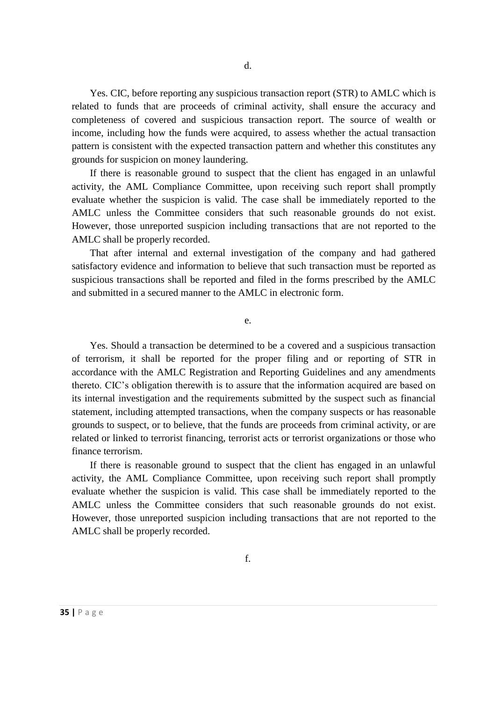Yes. CIC, before reporting any suspicious transaction report (STR) to AMLC which is related to funds that are proceeds of criminal activity, shall ensure the accuracy and completeness of covered and suspicious transaction report. The source of wealth or income, including how the funds were acquired, to assess whether the actual transaction pattern is consistent with the expected transaction pattern and whether this constitutes any grounds for suspicion on money laundering.

If there is reasonable ground to suspect that the client has engaged in an unlawful activity, the AML Compliance Committee, upon receiving such report shall promptly evaluate whether the suspicion is valid. The case shall be immediately reported to the AMLC unless the Committee considers that such reasonable grounds do not exist. However, those unreported suspicion including transactions that are not reported to the AMLC shall be properly recorded.

That after internal and external investigation of the company and had gathered satisfactory evidence and information to believe that such transaction must be reported as suspicious transactions shall be reported and filed in the forms prescribed by the AMLC and submitted in a secured manner to the AMLC in electronic form.

e.

Yes. Should a transaction be determined to be a covered and a suspicious transaction of terrorism, it shall be reported for the proper filing and or reporting of STR in accordance with the AMLC Registration and Reporting Guidelines and any amendments thereto. CIC's obligation therewith is to assure that the information acquired are based on its internal investigation and the requirements submitted by the suspect such as financial statement, including attempted transactions, when the company suspects or has reasonable grounds to suspect, or to believe, that the funds are proceeds from criminal activity, or are related or linked to terrorist financing, terrorist acts or terrorist organizations or those who finance terrorism.

If there is reasonable ground to suspect that the client has engaged in an unlawful activity, the AML Compliance Committee, upon receiving such report shall promptly evaluate whether the suspicion is valid. This case shall be immediately reported to the AMLC unless the Committee considers that such reasonable grounds do not exist. However, those unreported suspicion including transactions that are not reported to the AMLC shall be properly recorded.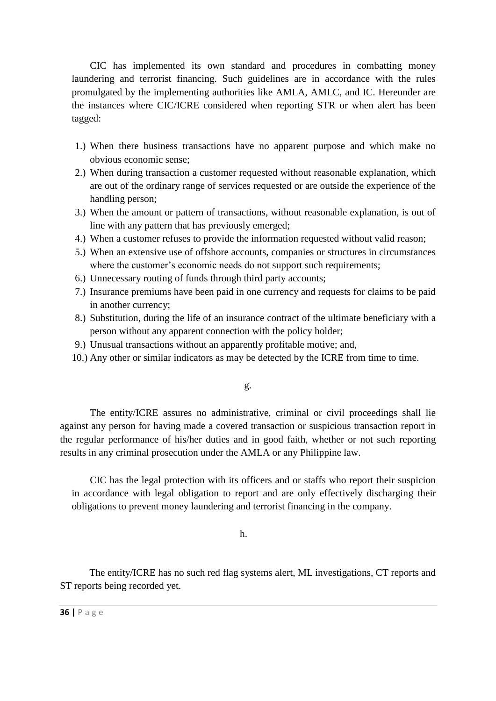CIC has implemented its own standard and procedures in combatting money laundering and terrorist financing. Such guidelines are in accordance with the rules promulgated by the implementing authorities like AMLA, AMLC, and IC. Hereunder are the instances where CIC/ICRE considered when reporting STR or when alert has been tagged:

- 1.) When there business transactions have no apparent purpose and which make no obvious economic sense;
- 2.) When during transaction a customer requested without reasonable explanation, which are out of the ordinary range of services requested or are outside the experience of the handling person;
- 3.) When the amount or pattern of transactions, without reasonable explanation, is out of line with any pattern that has previously emerged;
- 4.) When a customer refuses to provide the information requested without valid reason;
- 5.) When an extensive use of offshore accounts, companies or structures in circumstances where the customer's economic needs do not support such requirements;
- 6.) Unnecessary routing of funds through third party accounts;
- 7.) Insurance premiums have been paid in one currency and requests for claims to be paid in another currency;
- 8.) Substitution, during the life of an insurance contract of the ultimate beneficiary with a person without any apparent connection with the policy holder;
- 9.) Unusual transactions without an apparently profitable motive; and,
- 10.) Any other or similar indicators as may be detected by the ICRE from time to time.

g.

The entity/ICRE assures no administrative, criminal or civil proceedings shall lie against any person for having made a covered transaction or suspicious transaction report in the regular performance of his/her duties and in good faith, whether or not such reporting results in any criminal prosecution under the AMLA or any Philippine law.

CIC has the legal protection with its officers and or staffs who report their suspicion in accordance with legal obligation to report and are only effectively discharging their obligations to prevent money laundering and terrorist financing in the company.

h.

The entity/ICRE has no such red flag systems alert, ML investigations, CT reports and ST reports being recorded yet.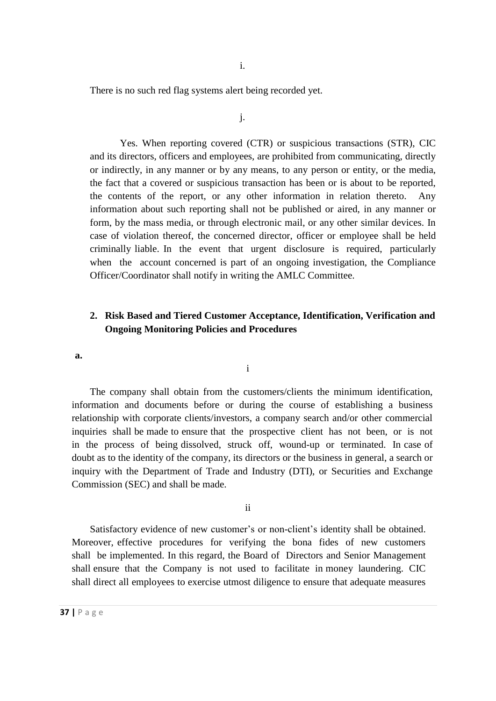There is no such red flag systems alert being recorded yet.

j.

Yes. When reporting covered (CTR) or suspicious transactions (STR), CIC and its directors, officers and employees, are prohibited from communicating, directly or indirectly, in any manner or by any means, to any person or entity, or the media, the fact that a covered or suspicious transaction has been or is about to be reported, the contents of the report, or any other information in relation thereto. Any information about such reporting shall not be published or aired, in any manner or form, by the mass media, or through electronic mail, or any other similar devices. In case of violation thereof, the concerned director, officer or employee shall be held criminally liable. In the event that urgent disclosure is required, particularly when the account concerned is part of an ongoing investigation, the Compliance Officer/Coordinator shall notify in writing the AMLC Committee.

### **2. Risk Based and Tiered Customer Acceptance, Identification, Verification and Ongoing Monitoring Policies and Procedures**

**a.**

The company shall obtain from the customers/clients the minimum identification, information and documents before or during the course of establishing a business relationship with corporate clients/investors, a company search and/or other commercial inquiries shall be made to ensure that the prospective client has not been, or is not in the process of being dissolved, struck off, wound-up or terminated. In case of doubt as to the identity of the company, its directors or the business in general, a search or inquiry with the Department of Trade and Industry (DTI), or Securities and Exchange Commission (SEC) and shall be made.

i

ii

Satisfactory evidence of new customer's or non-client's identity shall be obtained. Moreover, effective procedures for verifying the bona fides of new customers shall be implemented. In this regard, the Board of Directors and Senior Management shall ensure that the Company is not used to facilitate in money laundering. CIC shall direct all employees to exercise utmost diligence to ensure that adequate measures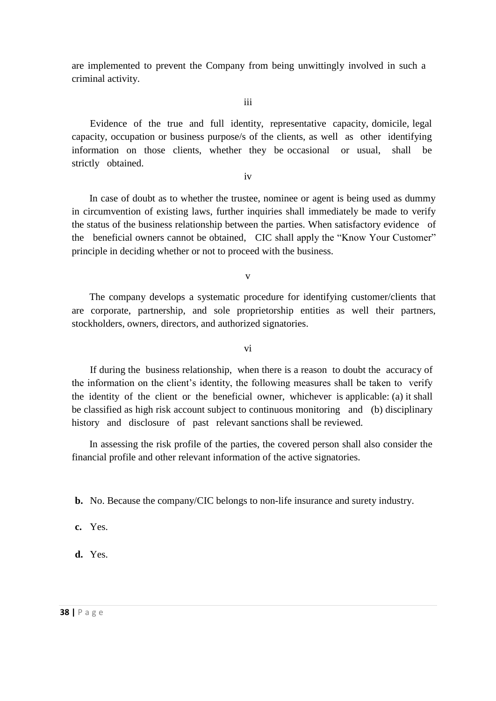are implemented to prevent the Company from being unwittingly involved in such a criminal activity.

iii

Evidence of the true and full identity, representative capacity, domicile, legal capacity, occupation or business purpose/s of the clients, as well as other identifying information on those clients, whether they be occasional or usual, shall be strictly obtained.

iv

In case of doubt as to whether the trustee, nominee or agent is being used as dummy in circumvention of existing laws, further inquiries shall immediately be made to verify the status of the business relationship between the parties. When satisfactory evidence of the beneficial owners cannot be obtained, CIC shall apply the "Know Your Customer" principle in deciding whether or not to proceed with the business.

v

The company develops a systematic procedure for identifying customer/clients that are corporate, partnership, and sole proprietorship entities as well their partners, stockholders, owners, directors, and authorized signatories.

vi

If during the business relationship, when there is a reason to doubt the accuracy of the information on the client's identity, the following measures shall be taken to verify the identity of the client or the beneficial owner, whichever is applicable: (a) it shall be classified as high risk account subject to continuous monitoring and (b) disciplinary history and disclosure of past relevant sanctions shall be reviewed.

In assessing the risk profile of the parties, the covered person shall also consider the financial profile and other relevant information of the active signatories.

**b.** No. Because the company/CIC belongs to non-life insurance and surety industry.

**c.** Yes.

**d.** Yes.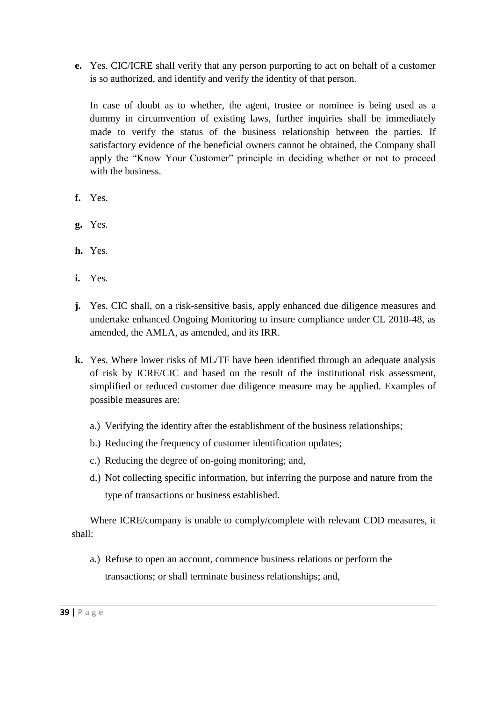**e.** Yes. CIC/ICRE shall verify that any person purporting to act on behalf of a customer is so authorized, and identify and verify the identity of that person.

In case of doubt as to whether, the agent, trustee or nominee is being used as a dummy in circumvention of existing laws, further inquiries shall be immediately made to verify the status of the business relationship between the parties. If satisfactory evidence of the beneficial owners cannot be obtained, the Company shall apply the "Know Your Customer" principle in deciding whether or not to proceed with the business.

- **f.** Yes.
- **g.** Yes.
- **h.** Yes.
- **i.** Yes.
- **j.** Yes. CIC shall, on a risk-sensitive basis, apply enhanced due diligence measures and undertake enhanced Ongoing Monitoring to insure compliance under CL 2018-48, as amended, the AMLA, as amended, and its IRR.
- **k.** Yes. Where lower risks of ML/TF have been identified through an adequate analysis of risk by ICRE/CIC and based on the result of the institutional risk assessment, simplified or reduced customer due diligence measure may be applied. Examples of possible measures are:
	- a.) Verifying the identity after the establishment of the business relationships;
	- b.) Reducing the frequency of customer identification updates;
	- c.) Reducing the degree of on-going monitoring; and,
	- d.) Not collecting specific information, but inferring the purpose and nature from the type of transactions or business established.

Where ICRE/company is unable to comply/complete with relevant CDD measures, it shall:

a.) Refuse to open an account, commence business relations or perform the transactions; or shall terminate business relationships; and,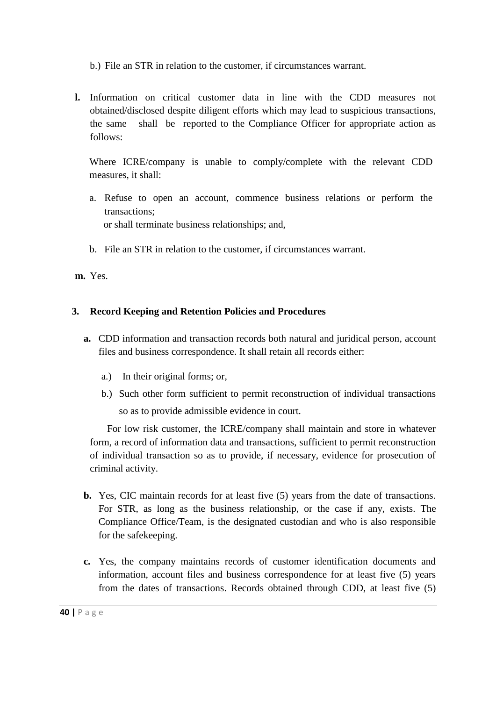b.) File an STR in relation to the customer, if circumstances warrant.

**l.** Information on critical customer data in line with the CDD measures not obtained/disclosed despite diligent efforts which may lead to suspicious transactions, the same shall be reported to the Compliance Officer for appropriate action as follows:

Where ICRE/company is unable to comply/complete with the relevant CDD measures, it shall:

- a. Refuse to open an account, commence business relations or perform the transactions; or shall terminate business relationships; and,
- b. File an STR in relation to the customer, if circumstances warrant.

**m.** Yes.

### **3. Record Keeping and Retention Policies and Procedures**

- **a.** CDD information and transaction records both natural and juridical person, account files and business correspondence. It shall retain all records either:
	- a.) In their original forms; or,
	- b.) Such other form sufficient to permit reconstruction of individual transactions so as to provide admissible evidence in court.

For low risk customer, the ICRE/company shall maintain and store in whatever form, a record of information data and transactions, sufficient to permit reconstruction of individual transaction so as to provide, if necessary, evidence for prosecution of criminal activity.

- **b.** Yes, CIC maintain records for at least five (5) years from the date of transactions. For STR, as long as the business relationship, or the case if any, exists. The Compliance Office/Team, is the designated custodian and who is also responsible for the safekeeping.
- **c.** Yes, the company maintains records of customer identification documents and information, account files and business correspondence for at least five (5) years from the dates of transactions. Records obtained through CDD, at least five (5)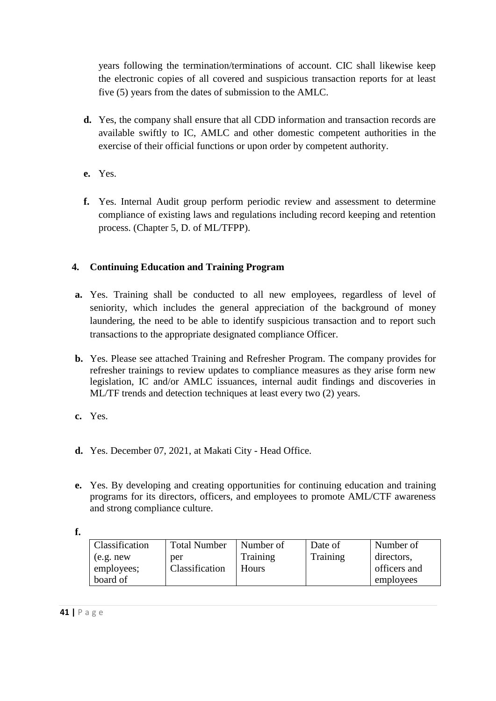years following the termination/terminations of account. CIC shall likewise keep the electronic copies of all covered and suspicious transaction reports for at least five (5) years from the dates of submission to the AMLC.

- **d.** Yes, the company shall ensure that all CDD information and transaction records are available swiftly to IC, AMLC and other domestic competent authorities in the exercise of their official functions or upon order by competent authority.
- **e.** Yes.
- **f.** Yes. Internal Audit group perform periodic review and assessment to determine compliance of existing laws and regulations including record keeping and retention process. (Chapter 5, D. of ML/TFPP).

## **4. Continuing Education and Training Program**

- **a.** Yes. Training shall be conducted to all new employees, regardless of level of seniority, which includes the general appreciation of the background of money laundering, the need to be able to identify suspicious transaction and to report such transactions to the appropriate designated compliance Officer.
- **b.** Yes. Please see attached Training and Refresher Program. The company provides for refresher trainings to review updates to compliance measures as they arise form new legislation, IC and/or AMLC issuances, internal audit findings and discoveries in ML/TF trends and detection techniques at least every two (2) years.
- **c.** Yes.
- **d.** Yes. December 07, 2021, at Makati City Head Office.
- **e.** Yes. By developing and creating opportunities for continuing education and training programs for its directors, officers, and employees to promote AML/CTF awareness and strong compliance culture.
- **f.**

| Classification | <b>Total Number</b> | Number of    | Date of  | Number of    |
|----------------|---------------------|--------------|----------|--------------|
| (e.g. new)     | per                 | Training     | Training | directors,   |
| employees;     | Classification      | <b>Hours</b> |          | officers and |
| board of       |                     |              |          | employees    |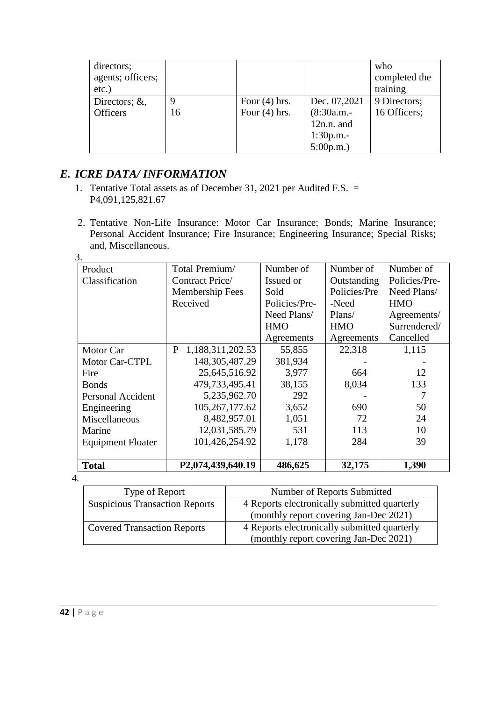| directors;<br>agents; officers;<br>$etc.$ ) |    |                 |               | who<br>completed the<br>training |
|---------------------------------------------|----|-----------------|---------------|----------------------------------|
| Directors; $\&$ ,                           | Q  | Four $(4)$ hrs. | Dec. 07,2021  | 9 Directors;                     |
| <b>Officers</b>                             | 16 | Four $(4)$ hrs. | $(8:30a.m. -$ | 16 Officers;                     |
|                                             |    |                 | $12n.n.$ and  |                                  |
|                                             |    |                 | $1:30p.m. -$  |                                  |
|                                             |    |                 | 5:00p.m.      |                                  |

# *E. ICRE DATA/ INFORMATION*

- 1. Tentative Total assets as of December 31, 2021 per Audited F.S. = P4,091,125,821.67
- 2. Tentative Non-Life Insurance: Motor Car Insurance; Bonds; Marine Insurance; Personal Accident Insurance; Fire Insurance; Engineering Insurance; Special Risks; and, Miscellaneous. 3.

| Product                  | Total Premium/        | Number of     | Number of    | Number of     |
|--------------------------|-----------------------|---------------|--------------|---------------|
| Classification           | Contract Price/       | Issued or     | Outstanding  | Policies/Pre- |
|                          | Membership Fees       | Sold          | Policies/Pre | Need Plans/   |
|                          | Received              | Policies/Pre- | -Need        | <b>HMO</b>    |
|                          |                       | Need Plans/   | Plans/       | Agreements/   |
|                          |                       | <b>HMO</b>    | <b>HMO</b>   | Surrendered/  |
|                          |                       | Agreements    | Agreements   | Cancelled     |
| Motor Car                | P<br>1,188,311,202.53 | 55,855        | 22,318       | 1,115         |
| Motor Car-CTPL           | 148, 305, 487. 29     | 381,934       |              |               |
| Fire                     | 25,645,516.92         | 3,977         | 664          | 12            |
| <b>Bonds</b>             | 479,733,495.41        | 38,155        | 8,034        | 133           |
| Personal Accident        | 5,235,962.70          | 292           |              |               |
| Engineering              | 105,267,177.62        | 3,652         | 690          | 50            |
| Miscellaneous            | 8,482,957.01          | 1,051         | 72           | 24            |
| Marine                   | 12,031,585.79         | 531           | 113          | 10            |
| <b>Equipment Floater</b> | 101,426,254.92        | 1,178         | 284          | 39            |
|                          |                       |               |              |               |
| <b>Total</b>             | P2,074,439,640.19     | 486,625       | 32,175       | 1,390         |

4.

| Type of Report                        | Number of Reports Submitted                  |
|---------------------------------------|----------------------------------------------|
| <b>Suspicious Transaction Reports</b> | 4 Reports electronically submitted quarterly |
|                                       | (monthly report covering Jan-Dec 2021)       |
| <b>Covered Transaction Reports</b>    | 4 Reports electronically submitted quarterly |
|                                       | (monthly report covering Jan-Dec 2021)       |